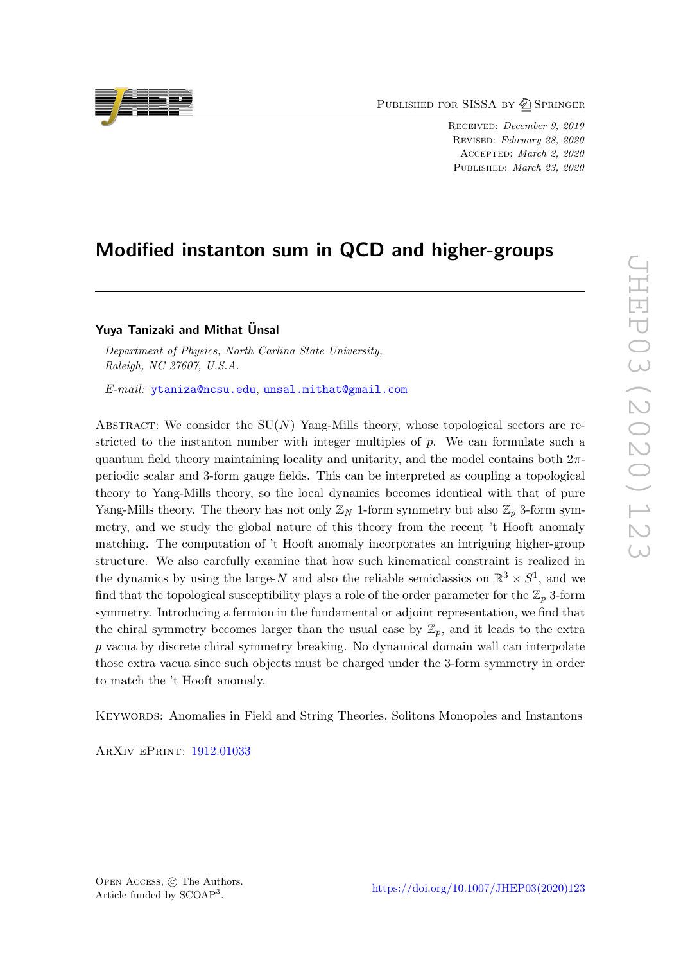PUBLISHED FOR SISSA BY 2 SPRINGER

RECEIVED: December 9, 2019 Revised: February 28, 2020 Accepted: March 2, 2020 Published: March 23, 2020

# Modified instanton sum in QCD and higher-groups

# Yuya Tanizaki and Mithat Ünsal

Department of Physics, North Carlina State University, Raleigh, NC 27607, U.S.A.

E-mail: [ytaniza@ncsu.edu](mailto:ytaniza@ncsu.edu), [unsal.mithat@gmail.com](mailto:unsal.mithat@gmail.com)

ABSTRACT: We consider the  $SU(N)$  Yang-Mills theory, whose topological sectors are restricted to the instanton number with integer multiples of  $p$ . We can formulate such a quantum field theory maintaining locality and unitarity, and the model contains both  $2\pi$ periodic scalar and 3-form gauge fields. This can be interpreted as coupling a topological theory to Yang-Mills theory, so the local dynamics becomes identical with that of pure Yang-Mills theory. The theory has not only  $\mathbb{Z}_N$  1-form symmetry but also  $\mathbb{Z}_p$  3-form symmetry, and we study the global nature of this theory from the recent 't Hooft anomaly matching. The computation of 't Hooft anomaly incorporates an intriguing higher-group structure. We also carefully examine that how such kinematical constraint is realized in the dynamics by using the large-N and also the reliable semiclassics on  $\mathbb{R}^3 \times S^1$ , and we find that the topological susceptibility plays a role of the order parameter for the  $\mathbb{Z}_p$  3-form symmetry. Introducing a fermion in the fundamental or adjoint representation, we find that the chiral symmetry becomes larger than the usual case by  $\mathbb{Z}_p$ , and it leads to the extra p vacua by discrete chiral symmetry breaking. No dynamical domain wall can interpolate those extra vacua since such objects must be charged under the 3-form symmetry in order to match the 't Hooft anomaly.

Keywords: Anomalies in Field and String Theories, Solitons Monopoles and Instantons

ArXiv ePrint: [1912.01033](https://arxiv.org/abs/1912.01033)

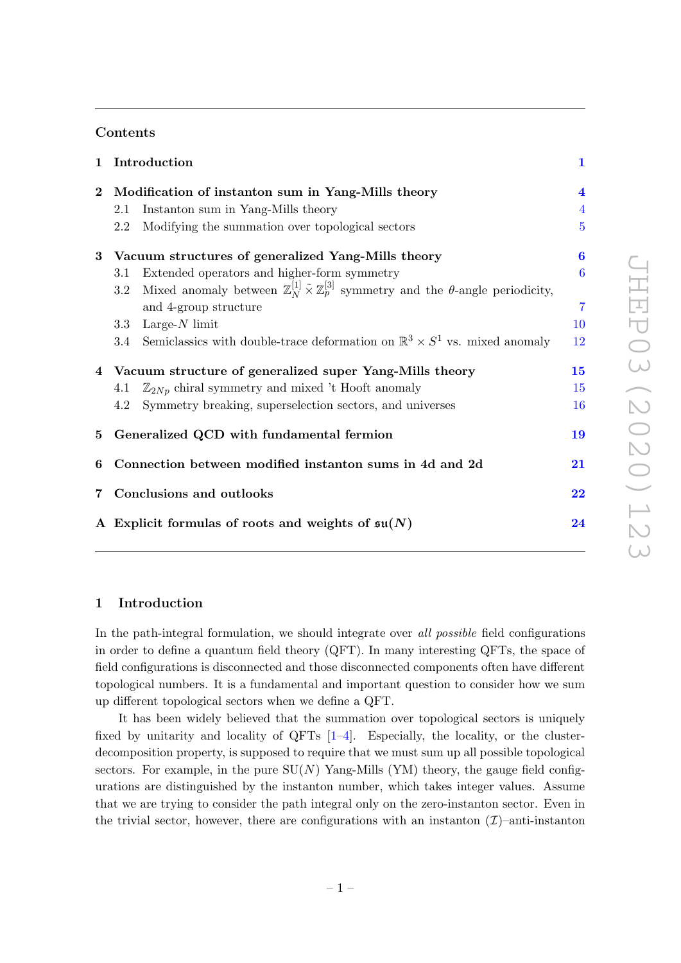# Contents

| $\mathbf{1}$   | Introduction                                                                                                                          | $\mathbf{1}$            |
|----------------|---------------------------------------------------------------------------------------------------------------------------------------|-------------------------|
| $\bf{2}$       | Modification of instanton sum in Yang-Mills theory                                                                                    | $\overline{\mathbf{4}}$ |
|                | Instanton sum in Yang-Mills theory<br>2.1                                                                                             | $\overline{4}$          |
|                | Modifying the summation over topological sectors<br>2.2                                                                               | $\overline{5}$          |
|                | 3 Vacuum structures of generalized Yang-Mills theory                                                                                  | 6                       |
|                | Extended operators and higher-form symmetry<br>3.1                                                                                    | $\overline{6}$          |
|                | Mixed anomaly between $\mathbb{Z}_N^{[1]} \tilde{\times} \mathbb{Z}_p^{[3]}$ symmetry and the $\theta$ -angle periodicity,<br>$3.2\,$ |                         |
|                | and 4-group structure                                                                                                                 | $\overline{7}$          |
|                | 3.3 Large- $N$ limit                                                                                                                  | 10                      |
|                | 3.4 Semiclassics with double-trace deformation on $\mathbb{R}^3 \times S^1$ vs. mixed anomaly                                         | 12                      |
|                | 4 Vacuum structure of generalized super Yang-Mills theory                                                                             | 15                      |
|                | $\mathbb{Z}_{2Np}$ chiral symmetry and mixed 't Hooft anomaly<br>4.1                                                                  | 15                      |
|                | Symmetry breaking, superselection sectors, and universes<br>4.2                                                                       | 16                      |
|                | 5 Generalized QCD with fundamental fermion                                                                                            | 19                      |
| 6              | Connection between modified instanton sums in 4d and 2d                                                                               | 21                      |
| $\overline{7}$ | Conclusions and outlooks                                                                                                              | 22                      |
|                | A Explicit formulas of roots and weights of $\mathfrak{su}(N)$                                                                        | 24                      |
|                |                                                                                                                                       |                         |

# <span id="page-1-0"></span>1 Introduction

In the path-integral formulation, we should integrate over all possible field configurations in order to define a quantum field theory (QFT). In many interesting QFTs, the space of field configurations is disconnected and those disconnected components often have different topological numbers. It is a fundamental and important question to consider how we sum up different topological sectors when we define a QFT.

It has been widely believed that the summation over topological sectors is uniquely fixed by unitarity and locality of QFTs  $[1-4]$  $[1-4]$ . Especially, the locality, or the clusterdecomposition property, is supposed to require that we must sum up all possible topological sectors. For example, in the pure  $SU(N)$  Yang-Mills (YM) theory, the gauge field configurations are distinguished by the instanton number, which takes integer values. Assume that we are trying to consider the path integral only on the zero-instanton sector. Even in the trivial sector, however, there are configurations with an instanton  $(\mathcal{I})$ –anti-instanton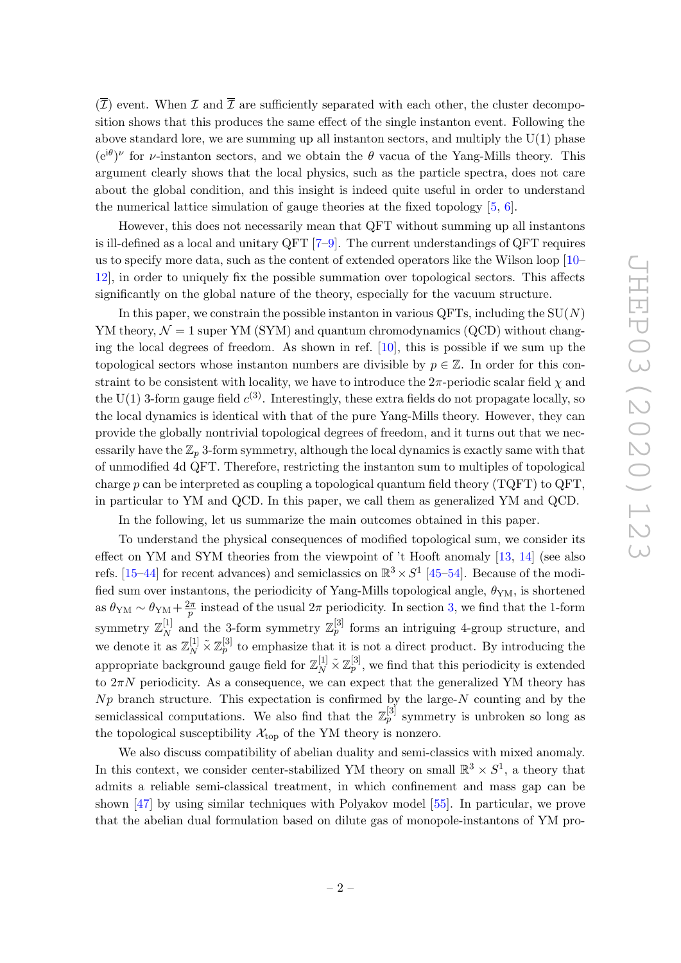$(\overline{I})$  event. When  $I$  and  $\overline{I}$  are sufficiently separated with each other, the cluster decomposition shows that this produces the same effect of the single instanton event. Following the above standard lore, we are summing up all instanton sectors, and multiply the  $U(1)$  phase  $(e^{i\theta})^{\nu}$  for *v*-instanton sectors, and we obtain the  $\theta$  vacua of the Yang-Mills theory. This argument clearly shows that the local physics, such as the particle spectra, does not care about the global condition, and this insight is indeed quite useful in order to understand the numerical lattice simulation of gauge theories at the fixed topology [\[5,](#page-25-2) [6\]](#page-26-0).

However, this does not necessarily mean that QFT without summing up all instantons is ill-defined as a local and unitary QFT [\[7](#page-26-1)[–9\]](#page-26-2). The current understandings of QFT requires us to specify more data, such as the content of extended operators like the Wilson loop [\[10–](#page-26-3) [12\]](#page-26-4), in order to uniquely fix the possible summation over topological sectors. This affects significantly on the global nature of the theory, especially for the vacuum structure.

In this paper, we constrain the possible instanton in various QFTs, including the  $SU(N)$ YM theory,  $\mathcal{N} = 1$  super YM (SYM) and quantum chromodynamics (QCD) without changing the local degrees of freedom. As shown in ref. [\[10\]](#page-26-3), this is possible if we sum up the topological sectors whose instanton numbers are divisible by  $p \in \mathbb{Z}$ . In order for this constraint to be consistent with locality, we have to introduce the  $2\pi$ -periodic scalar field  $\chi$  and the U(1) 3-form gauge field  $c^{(3)}$ . Interestingly, these extra fields do not propagate locally, so the local dynamics is identical with that of the pure Yang-Mills theory. However, they can provide the globally nontrivial topological degrees of freedom, and it turns out that we necessarily have the  $\mathbb{Z}_p$  3-form symmetry, although the local dynamics is exactly same with that of unmodified 4d QFT. Therefore, restricting the instanton sum to multiples of topological charge p can be interpreted as coupling a topological quantum field theory  $(TQFT)$  to  $QFT$ , in particular to YM and QCD. In this paper, we call them as generalized YM and QCD.

In the following, let us summarize the main outcomes obtained in this paper.

To understand the physical consequences of modified topological sum, we consider its effect on YM and SYM theories from the viewpoint of 't Hooft anomaly [\[13,](#page-26-5) [14\]](#page-26-6) (see also refs. [\[15–](#page-26-7)[44\]](#page-28-0) for recent advances) and semiclassics on  $\mathbb{R}^3 \times S^1$  [\[45–](#page-28-1)[54\]](#page-28-2). Because of the modified sum over instantons, the periodicity of Yang-Mills topological angle,  $\theta_{\text{YM}}$ , is shortened as  $\theta_{\text{YM}} \sim \theta_{\text{YM}} + \frac{2\pi}{n}$  $\frac{2\pi}{p}$  instead of the usual  $2\pi$  periodicity. In section [3,](#page-6-0) we find that the 1-form symmetry  $\mathbb{Z}_N^{[1]}$  $_N^{\left[1\right]}$  and the 3-form symmetry  $\mathbb{Z}_p^{\left[3\right]}$  forms an intriguing 4-group structure, and we denote it as  $\mathbb{Z}_N^{[1]} \tilde{\times} \mathbb{Z}_p^{[3]}$  to emphasize that it is not a direct product. By introducing the appropriate background gauge field for  $\mathbb{Z}_N^{[1]}\tilde{\times}\mathbb{Z}_p^{[3]}$ , we find that this periodicity is extended to  $2\pi N$  periodicity. As a consequence, we can expect that the generalized YM theory has  $Np$  branch structure. This expectation is confirmed by the large- $N$  counting and by the semiclassical computations. We also find that the  $\mathbb{Z}_p^{[3]}$  symmetry is unbroken so long as the topological susceptibility  $\mathcal{X}_{\text{top}}$  of the YM theory is nonzero.

We also discuss compatibility of abelian duality and semi-classics with mixed anomaly. In this context, we consider center-stabilized YM theory on small  $\mathbb{R}^3 \times S^1$ , a theory that admits a reliable semi-classical treatment, in which confinement and mass gap can be shown [\[47\]](#page-28-3) by using similar techniques with Polyakov model [\[55\]](#page-28-4). In particular, we prove that the abelian dual formulation based on dilute gas of monopole-instantons of YM pro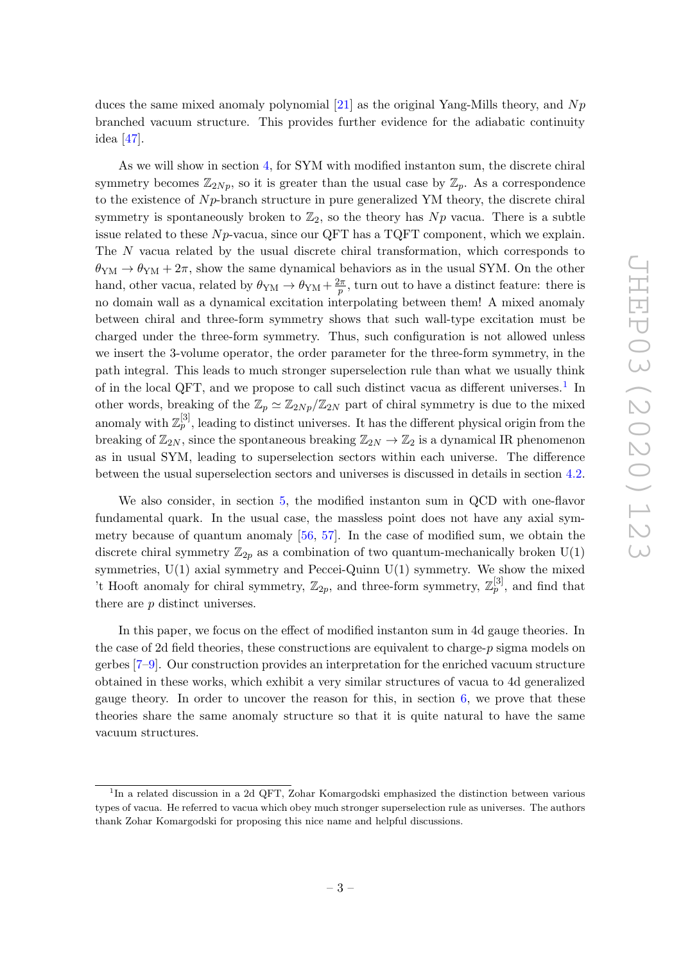duces the same mixed anomaly polynomial  $[21]$  as the original Yang-Mills theory, and N<sub>p</sub> branched vacuum structure. This provides further evidence for the adiabatic continuity idea [\[47\]](#page-28-3).

As we will show in section [4,](#page-15-0) for SYM with modified instanton sum, the discrete chiral symmetry becomes  $\mathbb{Z}_{2Np}$ , so it is greater than the usual case by  $\mathbb{Z}_p$ . As a correspondence to the existence of  $N_p$ -branch structure in pure generalized YM theory, the discrete chiral symmetry is spontaneously broken to  $\mathbb{Z}_2$ , so the theory has Np vacua. There is a subtle issue related to these  $N_p$ -vacua, since our QFT has a TQFT component, which we explain. The N vacua related by the usual discrete chiral transformation, which corresponds to  $\theta_{YM} \rightarrow \theta_{YM} + 2\pi$ , show the same dynamical behaviors as in the usual SYM. On the other hand, other vacua, related by  $\theta_{YM} \rightarrow \theta_{YM} + \frac{2\pi}{n}$  $\frac{2\pi}{p}$ , turn out to have a distinct feature: there is no domain wall as a dynamical excitation interpolating between them! A mixed anomaly between chiral and three-form symmetry shows that such wall-type excitation must be charged under the three-form symmetry. Thus, such configuration is not allowed unless we insert the 3-volume operator, the order parameter for the three-form symmetry, in the path integral. This leads to much stronger superselection rule than what we usually think of in the local QFT, and we propose to call such distinct vacua as different universes.<sup>[1](#page-3-0)</sup> In other words, breaking of the  $\mathbb{Z}_p \simeq \mathbb{Z}_{2Np}/\mathbb{Z}_{2N}$  part of chiral symmetry is due to the mixed anomaly with  $\mathbb{Z}_p^{[3]}$ , leading to distinct universes. It has the different physical origin from the breaking of  $\mathbb{Z}_{2N}$ , since the spontaneous breaking  $\mathbb{Z}_{2N} \to \mathbb{Z}_2$  is a dynamical IR phenomenon as in usual SYM, leading to superselection sectors within each universe. The difference between the usual superselection sectors and universes is discussed in details in section [4.2.](#page-16-0)

We also consider, in section [5,](#page-19-0) the modified instanton sum in QCD with one-flavor fundamental quark. In the usual case, the massless point does not have any axial symmetry because of quantum anomaly [\[56,](#page-28-5) [57\]](#page-28-6). In the case of modified sum, we obtain the discrete chiral symmetry  $\mathbb{Z}_{2p}$  as a combination of two quantum-mechanically broken  $U(1)$ symmetries,  $U(1)$  axial symmetry and Peccei-Quinn  $U(1)$  symmetry. We show the mixed 't Hooft anomaly for chiral symmetry,  $\mathbb{Z}_{2p}$ , and three-form symmetry,  $\mathbb{Z}_p^{[3]}$ , and find that there are p distinct universes.

In this paper, we focus on the effect of modified instanton sum in 4d gauge theories. In the case of 2d field theories, these constructions are equivalent to charge-p sigma models on gerbes [\[7–](#page-26-1)[9\]](#page-26-2). Our construction provides an interpretation for the enriched vacuum structure obtained in these works, which exhibit a very similar structures of vacua to 4d generalized gauge theory. In order to uncover the reason for this, in section  $6$ , we prove that these theories share the same anomaly structure so that it is quite natural to have the same vacuum structures.

<span id="page-3-0"></span><sup>&</sup>lt;sup>1</sup>In a related discussion in a 2d QFT, Zohar Komargodski emphasized the distinction between various types of vacua. He referred to vacua which obey much stronger superselection rule as universes. The authors thank Zohar Komargodski for proposing this nice name and helpful discussions.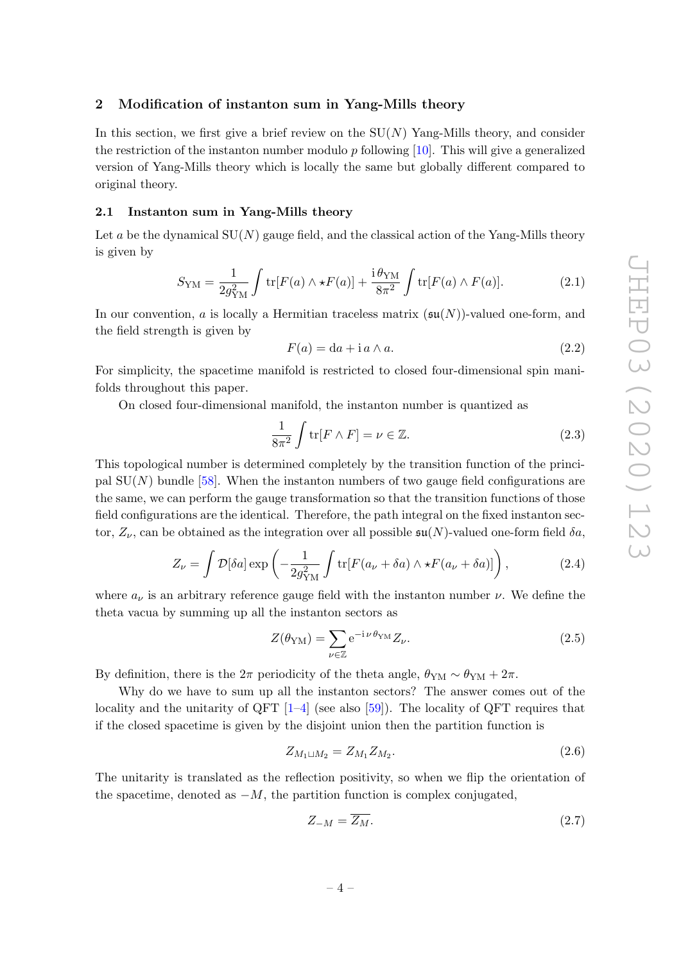### <span id="page-4-0"></span>2 Modification of instanton sum in Yang-Mills theory

In this section, we first give a brief review on the  $SU(N)$  Yang-Mills theory, and consider the restriction of the instanton number modulo p following  $[10]$ . This will give a generalized version of Yang-Mills theory which is locally the same but globally different compared to original theory.

### <span id="page-4-1"></span>2.1 Instanton sum in Yang-Mills theory

Let a be the dynamical  $SU(N)$  gauge field, and the classical action of the Yang-Mills theory is given by

$$
S_{\rm YM} = \frac{1}{2g_{\rm YM}^2} \int \text{tr}[F(a) \wedge \star F(a)] + \frac{\text{i}\,\theta_{\rm YM}}{8\pi^2} \int \text{tr}[F(a) \wedge F(a)].\tag{2.1}
$$

In our convention, a is locally a Hermitian traceless matrix  $(\mathfrak{su}(N))$ -valued one-form, and the field strength is given by

$$
F(a) = da + i a \wedge a. \tag{2.2}
$$

For simplicity, the spacetime manifold is restricted to closed four-dimensional spin manifolds throughout this paper.

On closed four-dimensional manifold, the instanton number is quantized as

$$
\frac{1}{8\pi^2} \int \text{tr}[F \wedge F] = \nu \in \mathbb{Z}.
$$
 (2.3)

This topological number is determined completely by the transition function of the principal  $SU(N)$  bundle [\[58\]](#page-28-7). When the instanton numbers of two gauge field configurations are the same, we can perform the gauge transformation so that the transition functions of those field configurations are the identical. Therefore, the path integral on the fixed instanton sector,  $Z_{\nu}$ , can be obtained as the integration over all possible  $\mathfrak{su}(N)$ -valued one-form field  $\delta a$ ,

$$
Z_{\nu} = \int \mathcal{D}[\delta a] \exp\left(-\frac{1}{2g_{\rm YM}^2} \int \text{tr}[F(a_{\nu} + \delta a) \wedge \star F(a_{\nu} + \delta a)]\right),\tag{2.4}
$$

where  $a_{\nu}$  is an arbitrary reference gauge field with the instanton number  $\nu$ . We define the theta vacua by summing up all the instanton sectors as

<span id="page-4-2"></span>
$$
Z(\theta_{\rm YM}) = \sum_{\nu \in \mathbb{Z}} e^{-i \nu \theta_{\rm YM}} Z_{\nu}.
$$
 (2.5)

By definition, there is the  $2\pi$  periodicity of the theta angle,  $\theta_{\rm YM} \sim \theta_{\rm YM} + 2\pi$ .

Why do we have to sum up all the instanton sectors? The answer comes out of the locality and the unitarity of QFT  $[1-4]$  $[1-4]$  (see also  $[59]$ ). The locality of QFT requires that if the closed spacetime is given by the disjoint union then the partition function is

$$
Z_{M_1 \sqcup M_2} = Z_{M_1} Z_{M_2}.\tag{2.6}
$$

The unitarity is translated as the reflection positivity, so when we flip the orientation of the spacetime, denoted as  $-M$ , the partition function is complex conjugated,

$$
Z_{-M} = \overline{Z_M}.\tag{2.7}
$$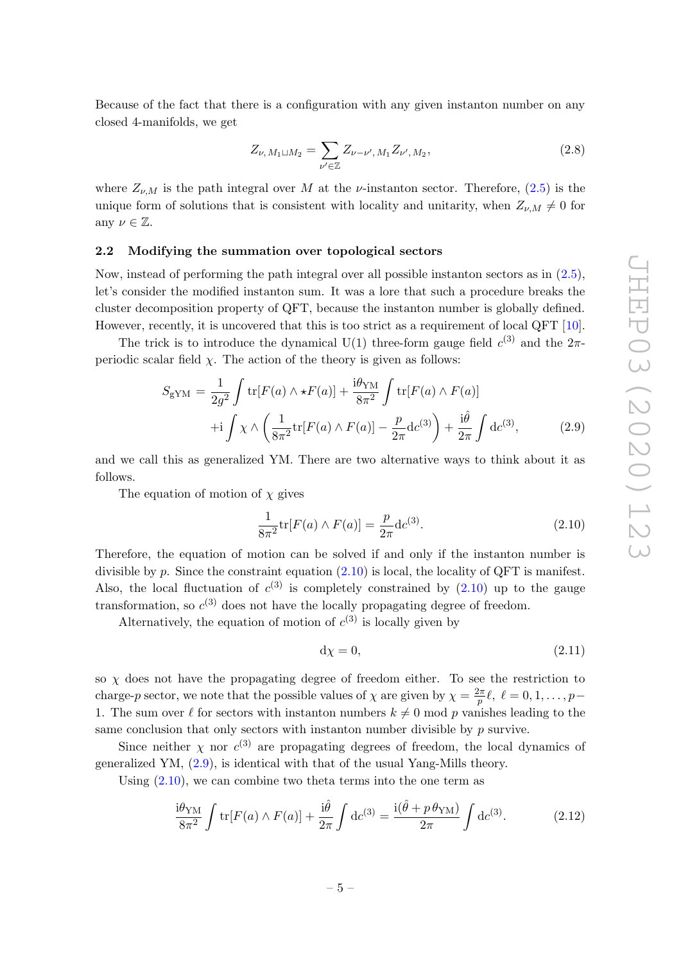Because of the fact that there is a configuration with any given instanton number on any closed 4-manifolds, we get

$$
Z_{\nu, M_1 \sqcup M_2} = \sum_{\nu' \in \mathbb{Z}} Z_{\nu - \nu', M_1} Z_{\nu', M_2}, \qquad (2.8)
$$

where  $Z_{\nu,M}$  is the path integral over M at the  $\nu$ -instanton sector. Therefore, [\(2.5\)](#page-4-2) is the unique form of solutions that is consistent with locality and unitarity, when  $Z_{\nu,M} \neq 0$  for any  $\nu \in \mathbb{Z}$ .

### <span id="page-5-0"></span>2.2 Modifying the summation over topological sectors

Now, instead of performing the path integral over all possible instanton sectors as in [\(2.5\)](#page-4-2), let's consider the modified instanton sum. It was a lore that such a procedure breaks the cluster decomposition property of QFT, because the instanton number is globally defined. However, recently, it is uncovered that this is too strict as a requirement of local QFT [\[10\]](#page-26-3).

The trick is to introduce the dynamical U(1) three-form gauge field  $c^{(3)}$  and the  $2\pi$ periodic scalar field  $\chi$ . The action of the theory is given as follows:

<span id="page-5-2"></span>
$$
S_{\rm gYM} = \frac{1}{2g^2} \int \text{tr}[F(a) \wedge \star F(a)] + \frac{\mathbf{i}\theta_{\rm YM}}{8\pi^2} \int \text{tr}[F(a) \wedge F(a)] + \mathbf{i} \int \chi \wedge \left(\frac{1}{8\pi^2} \text{tr}[F(a) \wedge F(a)] - \frac{p}{2\pi} \text{d}c^{(3)}\right) + \frac{\mathbf{i}\hat{\theta}}{2\pi} \int \text{d}c^{(3)},
$$
(2.9)

and we call this as generalized YM. There are two alternative ways to think about it as follows.

The equation of motion of  $\chi$  gives

<span id="page-5-1"></span>
$$
\frac{1}{8\pi^2} \text{tr}[F(a) \wedge F(a)] = \frac{p}{2\pi} \text{d}c^{(3)}.
$$
 (2.10)

Therefore, the equation of motion can be solved if and only if the instanton number is divisible by p. Since the constraint equation  $(2.10)$  is local, the locality of QFT is manifest. Also, the local fluctuation of  $c^{(3)}$  is completely constrained by  $(2.10)$  up to the gauge transformation, so  $c^{(3)}$  does not have the locally propagating degree of freedom.

Alternatively, the equation of motion of  $c^{(3)}$  is locally given by

$$
d\chi = 0,\t(2.11)
$$

so  $\chi$  does not have the propagating degree of freedom either. To see the restriction to charge-p sector, we note that the possible values of  $\chi$  are given by  $\chi = \frac{2\pi}{n}$  $\frac{2\pi}{p} \ell, \; \ell = 0, 1, \ldots, p-1$ 1. The sum over  $\ell$  for sectors with instanton numbers  $k \neq 0$  mod p vanishes leading to the same conclusion that only sectors with instanton number divisible by  $p$  survive.

Since neither  $\chi$  nor  $c^{(3)}$  are propagating degrees of freedom, the local dynamics of generalized YM, [\(2.9\)](#page-5-2), is identical with that of the usual Yang-Mills theory.

Using [\(2.10\)](#page-5-1), we can combine two theta terms into the one term as

$$
\frac{\mathrm{i}\theta_{\mathrm{YM}}}{8\pi^2} \int \mathrm{tr}[F(a)\wedge F(a)] + \frac{\mathrm{i}\hat{\theta}}{2\pi} \int \mathrm{d}c^{(3)} = \frac{\mathrm{i}(\hat{\theta} + p\,\theta_{\mathrm{YM}})}{2\pi} \int \mathrm{d}c^{(3)}.\tag{2.12}
$$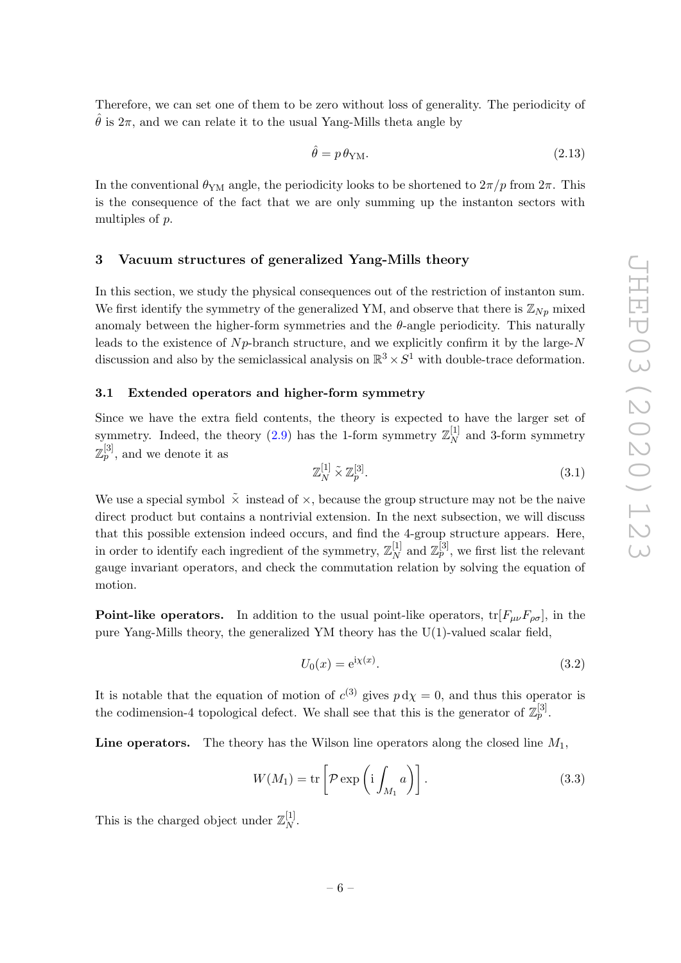Therefore, we can set one of them to be zero without loss of generality. The periodicity of  $\hat{\theta}$  is  $2\pi$ , and we can relate it to the usual Yang-Mills theta angle by

$$
\hat{\theta} = p \,\theta_{\rm YM}.\tag{2.13}
$$

In the conventional  $\theta_{\text{YM}}$  angle, the periodicity looks to be shortened to  $2\pi/p$  from  $2\pi$ . This is the consequence of the fact that we are only summing up the instanton sectors with multiples of p.

### <span id="page-6-0"></span>3 Vacuum structures of generalized Yang-Mills theory

In this section, we study the physical consequences out of the restriction of instanton sum. We first identify the symmetry of the generalized YM, and observe that there is  $\mathbb{Z}_{N_p}$  mixed anomaly between the higher-form symmetries and the  $\theta$ -angle periodicity. This naturally leads to the existence of  $N_p$ -branch structure, and we explicitly confirm it by the large-N discussion and also by the semiclassical analysis on  $\mathbb{R}^3 \times S^1$  with double-trace deformation.

### <span id="page-6-1"></span>3.1 Extended operators and higher-form symmetry

Since we have the extra field contents, the theory is expected to have the larger set of symmetry. Indeed, the theory [\(2.9\)](#page-5-2) has the 1-form symmetry  $\mathbb{Z}_N^{[1]}$  $N \atop N$  and 3-form symmetry  $\mathbb{Z}_p^{[3]}$ , and we denote it as

$$
\mathbb{Z}_N^{[1]} \tilde{\times} \mathbb{Z}_p^{[3]}.\tag{3.1}
$$

We use a special symbol  $\tilde{\chi}$  instead of  $\times$ , because the group structure may not be the naive direct product but contains a nontrivial extension. In the next subsection, we will discuss that this possible extension indeed occurs, and find the 4-group structure appears. Here, in order to identify each ingredient of the symmetry,  $\mathbb{Z}_N^{[1]}$  $\mathbb{Z}_{p}^{[3]}$  and  $\mathbb{Z}_{p}^{[3]}$ , we first list the relevant gauge invariant operators, and check the commutation relation by solving the equation of motion.

**Point-like operators.** In addition to the usual point-like operators,  $tr[F_{\mu\nu}F_{\rho\sigma}]$ , in the pure Yang-Mills theory, the generalized YM theory has the U(1)-valued scalar field,

$$
U_0(x) = e^{i\chi(x)}.
$$
\n(3.2)

It is notable that the equation of motion of  $c^{(3)}$  gives  $p \, d\chi = 0$ , and thus this operator is the codimension-4 topological defect. We shall see that this is the generator of  $\mathbb{Z}_p^{[3]}$ .

**Line operators.** The theory has the Wilson line operators along the closed line  $M_1$ ,

$$
W(M_1) = \text{tr}\left[\mathcal{P}\exp\left(\mathbf{i}\int_{M_1} a\right)\right].\tag{3.3}
$$

This is the charged object under  $\mathbb{Z}_N^{[1]}$  $\frac{1}{N}$ .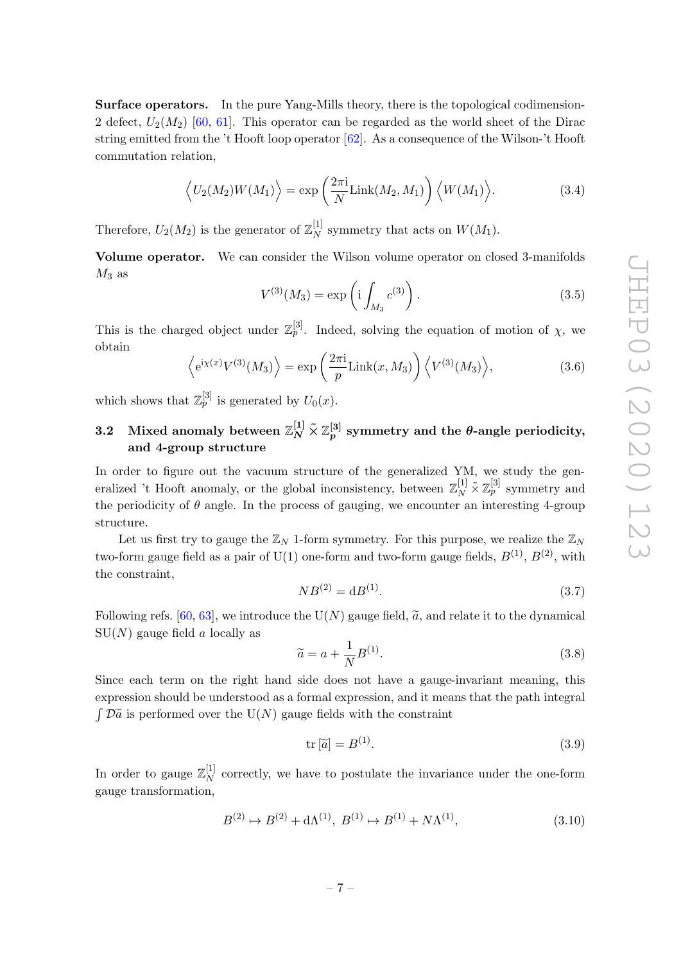Surface operators. In the pure Yang-Mills theory, there is the topological codimension-2 defect,  $U_2(M_2)$  [\[60,](#page-28-9) [61\]](#page-28-10). This operator can be regarded as the world sheet of the Dirac string emitted from the 't Hooft loop operator [\[62\]](#page-29-0). As a consequence of the Wilson-'t Hooft commutation relation,

$$
\langle U_2(M_2)W(M_1)\rangle = \exp\left(\frac{2\pi i}{N}\text{Link}(M_2, M_1)\right)\langle W(M_1)\rangle.
$$
 (3.4)

Therefore,  $U_2(M_2)$  is the generator of  $\mathbb{Z}_N^{[1]}$  $_N^{\lfloor 1 \rfloor}$  symmetry that acts on  $W(M_1)$ .

Volume operator. We can consider the Wilson volume operator on closed 3-manifolds  $M_3$  as

$$
V^{(3)}(M_3) = \exp\left(i \int_{M_3} c^{(3)}\right). \tag{3.5}
$$

This is the charged object under  $\mathbb{Z}_p^{[3]}$ . Indeed, solving the equation of motion of  $\chi$ , we obtain

$$
\left\langle e^{i\chi(x)}V^{(3)}(M_3)\right\rangle = \exp\left(\frac{2\pi i}{p}\text{Link}(x,M_3)\right)\left\langle V^{(3)}(M_3)\right\rangle,\tag{3.6}
$$

which shows that  $\mathbb{Z}_p^{[3]}$  is generated by  $U_0(x)$ .

# <span id="page-7-0"></span>3.2 Mixed anomaly between  $\mathbb{Z}_N^{[1]}\tilde{\times}\mathbb{Z}_p^{[3]}$  symmetry and the  $\theta\text{-angle periodicity},$ and 4-group structure

In order to figure out the vacuum structure of the generalized YM, we study the generalized 't Hooft anomaly, or the global inconsistency, between  $\mathbb{Z}_N^{[1]} \tilde{\times} \mathbb{Z}_p^{[3]}$  symmetry and the periodicity of  $\theta$  angle. In the process of gauging, we encounter an interesting 4-group structure.

Let us first try to gauge the  $\mathbb{Z}_N$  1-form symmetry. For this purpose, we realize the  $\mathbb{Z}_N$ two-form gauge field as a pair of U(1) one-form and two-form gauge fields,  $B^{(1)}$ ,  $B^{(2)}$ , with the constraint,

$$
NB^{(2)} = dB^{(1)}.
$$
\n(3.7)

Following refs. [\[60,](#page-28-9) [63\]](#page-29-1), we introduce the U(N) gauge field,  $\tilde{a}$ , and relate it to the dynamical  $SU(N)$  gauge field a locally as

$$
\widetilde{a} = a + \frac{1}{N} B^{(1)}.
$$
\n(3.8)

Since each term on the right hand side does not have a gauge-invariant meaning, this expression should be understood as a formal expression, and it means that the path integral  $\int \mathcal{D}\tilde{a}$  is performed over the U(N) gauge fields with the constraint

$$
\text{tr}\left[\tilde{a}\right] = B^{(1)}.\tag{3.9}
$$

In order to gauge  $\mathbb{Z}_N^{[1]}$  $N^{\lfloor 1 \rfloor}$  correctly, we have to postulate the invariance under the one-form gauge transformation,

$$
B^{(2)} \mapsto B^{(2)} + d\Lambda^{(1)}, \ B^{(1)} \mapsto B^{(1)} + N\Lambda^{(1)}, \tag{3.10}
$$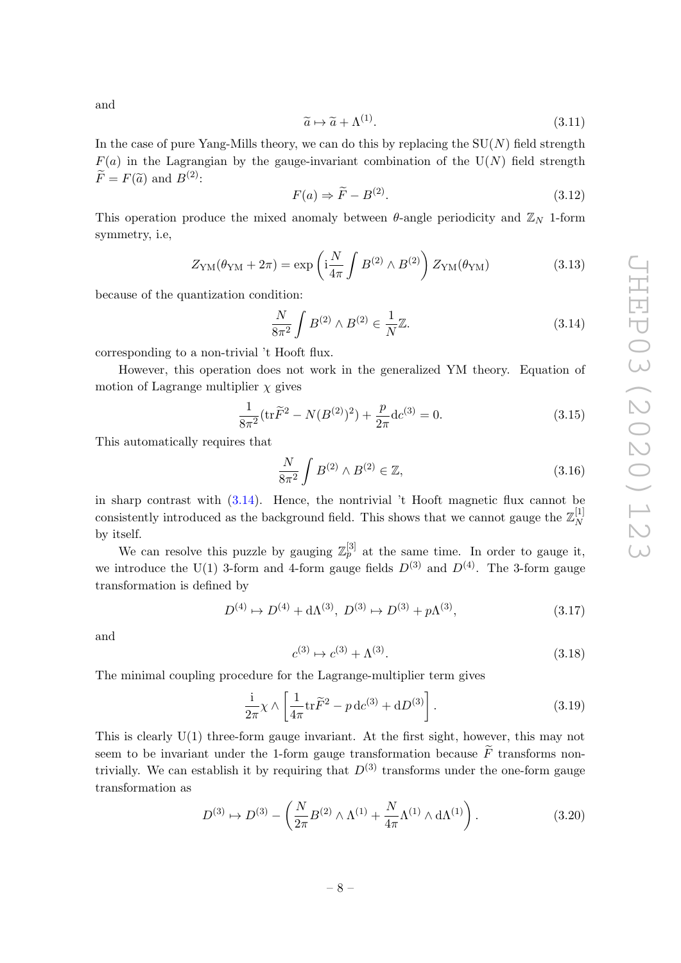and

$$
\widetilde{a} \mapsto \widetilde{a} + \Lambda^{(1)}.\tag{3.11}
$$

In the case of pure Yang-Mills theory, we can do this by replacing the  $SU(N)$  field strength  $F(a)$  in the Lagrangian by the gauge-invariant combination of the  $U(N)$  field strength  $\widetilde{F}=F(\widetilde{a})$  and  $B^{(2)}$ :

$$
F(a) \Rightarrow \widetilde{F} - B^{(2)}.
$$
\n(3.12)

This operation produce the mixed anomaly between  $\theta$ -angle periodicity and  $\mathbb{Z}_N$  1-form symmetry, i.e,

$$
Z_{\rm YM}(\theta_{\rm YM} + 2\pi) = \exp\left(i\frac{N}{4\pi} \int B^{(2)} \wedge B^{(2)}\right) Z_{\rm YM}(\theta_{\rm YM})
$$
(3.13)

because of the quantization condition:

<span id="page-8-0"></span>
$$
\frac{N}{8\pi^2} \int B^{(2)} \wedge B^{(2)} \in \frac{1}{N} \mathbb{Z}.
$$
 (3.14)

corresponding to a non-trivial 't Hooft flux.

However, this operation does not work in the generalized YM theory. Equation of motion of Lagrange multiplier  $\chi$  gives

$$
\frac{1}{8\pi^2} \left( \text{tr}\tilde{F}^2 - N(B^{(2)})^2 \right) + \frac{p}{2\pi} \text{d}c^{(3)} = 0. \tag{3.15}
$$

This automatically requires that

$$
\frac{N}{8\pi^2} \int B^{(2)} \wedge B^{(2)} \in \mathbb{Z},\tag{3.16}
$$

in sharp contrast with [\(3.14\)](#page-8-0). Hence, the nontrivial 't Hooft magnetic flux cannot be consistently introduced as the background field. This shows that we cannot gauge the  $\mathbb{Z}_N^{[1]}$ N by itself.

We can resolve this puzzle by gauging  $\mathbb{Z}_p^{[3]}$  at the same time. In order to gauge it, we introduce the U(1) 3-form and 4-form gauge fields  $D^{(3)}$  and  $D^{(4)}$ . The 3-form gauge transformation is defined by

$$
D^{(4)} \mapsto D^{(4)} + d\Lambda^{(3)}, \ D^{(3)} \mapsto D^{(3)} + p\Lambda^{(3)}, \tag{3.17}
$$

and

$$
c^{(3)} \mapsto c^{(3)} + \Lambda^{(3)}.\tag{3.18}
$$

The minimal coupling procedure for the Lagrange-multiplier term gives

$$
\frac{\mathrm{i}}{2\pi}\chi \wedge \left[\frac{1}{4\pi}\mathrm{tr}\widetilde{F}^2 - p\,\mathrm{d}c^{(3)} + \mathrm{d}D^{(3)}\right].\tag{3.19}
$$

This is clearly U(1) three-form gauge invariant. At the first sight, however, this may not seem to be invariant under the 1-form gauge transformation because  $\widetilde{F}$  transforms nontrivially. We can establish it by requiring that  $D^{(3)}$  transforms under the one-form gauge transformation as

$$
D^{(3)} \mapsto D^{(3)} - \left(\frac{N}{2\pi} B^{(2)} \wedge \Lambda^{(1)} + \frac{N}{4\pi} \Lambda^{(1)} \wedge d\Lambda^{(1)}\right). \tag{3.20}
$$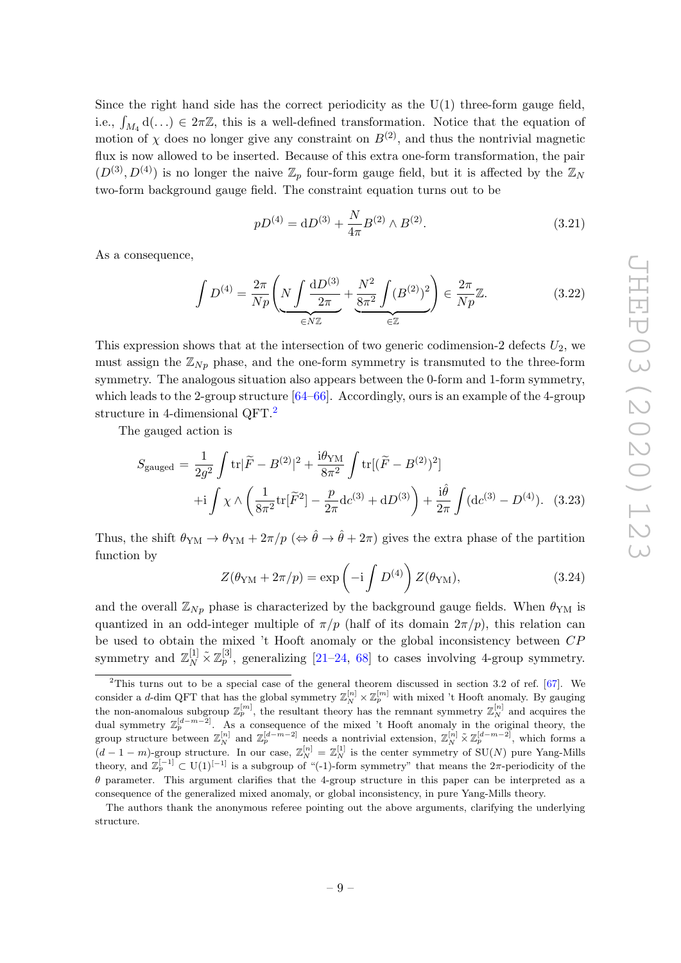Since the right hand side has the correct periodicity as the  $U(1)$  three-form gauge field, i.e.,  $\int_{M_4} d(\ldots) \in 2\pi\mathbb{Z}$ , this is a well-defined transformation. Notice that the equation of motion of  $\chi$  does no longer give any constraint on  $B^{(2)}$ , and thus the nontrivial magnetic flux is now allowed to be inserted. Because of this extra one-form transformation, the pair  $(D^{(3)}, D^{(4)})$  is no longer the naive  $\mathbb{Z}_p$  four-form gauge field, but it is affected by the  $\mathbb{Z}_N$ two-form background gauge field. The constraint equation turns out to be

<span id="page-9-1"></span>
$$
pD^{(4)} = dD^{(3)} + \frac{N}{4\pi}B^{(2)} \wedge B^{(2)}.
$$
\n(3.21)

As a consequence,

$$
\int D^{(4)} = \frac{2\pi}{Np} \left( N \int \frac{dD^{(3)}}{2\pi} + \underbrace{\frac{N^2}{8\pi^2} \int (B^{(2)})^2}{\epsilon \mathbb{Z}} \right) \in \frac{2\pi}{Np} \mathbb{Z}.
$$
 (3.22)

This expression shows that at the intersection of two generic codimension-2 defects  $U_2$ , we must assign the  $\mathbb{Z}_{N_p}$  phase, and the one-form symmetry is transmuted to the three-form symmetry. The analogous situation also appears between the 0-form and 1-form symmetry, which leads to the 2-group structure  $[64–66]$  $[64–66]$ . Accordingly, ours is an example of the 4-group structure in 4-dimensional QFT.<sup>[2](#page-9-0)</sup>

The gauged action is

$$
S_{\text{gauged}} = \frac{1}{2g^2} \int \text{tr} |\tilde{F} - B^{(2)}|^2 + \frac{i\theta_{\text{YM}}}{8\pi^2} \int \text{tr} [(\tilde{F} - B^{(2)})^2] + \text{i} \int \chi \wedge \left(\frac{1}{8\pi^2} \text{tr}[\tilde{F}^2] - \frac{p}{2\pi} \text{d}c^{(3)} + \text{d}D^{(3)}\right) + \frac{i\hat{\theta}}{2\pi} \int (\text{d}c^{(3)} - D^{(4)}). \tag{3.23}
$$

Thus, the shift  $\theta_{YM} \to \theta_{YM} + 2\pi/p \ (\Leftrightarrow \hat{\theta} \to \hat{\theta} + 2\pi)$  gives the extra phase of the partition function by

$$
Z(\theta_{\rm YM} + 2\pi/p) = \exp\left(-i \int D^{(4)}\right) Z(\theta_{\rm YM}),\tag{3.24}
$$

and the overall  $\mathbb{Z}_{N_p}$  phase is characterized by the background gauge fields. When  $\theta_{YM}$  is quantized in an odd-integer multiple of  $\pi/p$  (half of its domain  $2\pi/p$ ), this relation can be used to obtain the mixed 't Hooft anomaly or the global inconsistency between CP symmetry and  $\mathbb{Z}_N^{[1]} \tilde{\times} \mathbb{Z}_p^{[3]}$ , generalizing [\[21](#page-26-8)[–24,](#page-26-9) [68\]](#page-29-4) to cases involving 4-group symmetry.

<span id="page-9-0"></span><sup>&</sup>lt;sup>2</sup>This turns out to be a special case of the general theorem discussed in section 3.2 of ref.  $[67]$ . We consider a d-dim QFT that has the global symmetry  $\mathbb{Z}_N^{[n]} \times \mathbb{Z}_p^{[m]}$  with mixed 't Hooft anomaly. By gauging the non-anomalous subgroup  $\mathbb{Z}_p^{[m]}$ , the resultant theory has the remnant symmetry  $\mathbb{Z}_N^{[n]}$  and acquires the dual symmetry  $\mathbb{Z}_p^{[d-m-2]}$ . As a consequence of the mixed 't Hooft anomaly in the original theory, the group structure between  $\mathbb{Z}_N^{[n]}$  and  $\mathbb{Z}_p^{[d-m-2]}$  needs a nontrivial extension,  $\mathbb{Z}_N^{[n]} \tilde{\times} \mathbb{Z}_p^{[d-m-2]}$ , which forms a  $(d-1-m)$ -group structure. In our case,  $\mathbb{Z}_N^{[n]} = \mathbb{Z}_N^{[1]}$  is the center symmetry of  $\text{SU}(N)$  pure Yang-Mills theory, and  $\mathbb{Z}_p^{[-1]} \subset U(1)^{[-1]}$  is a subgroup of "(-1)-form symmetry" that means the  $2\pi$ -periodicity of the  $\theta$  parameter. This argument clarifies that the 4-group structure in this paper can be interpreted as a consequence of the generalized mixed anomaly, or global inconsistency, in pure Yang-Mills theory.

The authors thank the anonymous referee pointing out the above arguments, clarifying the underlying structure.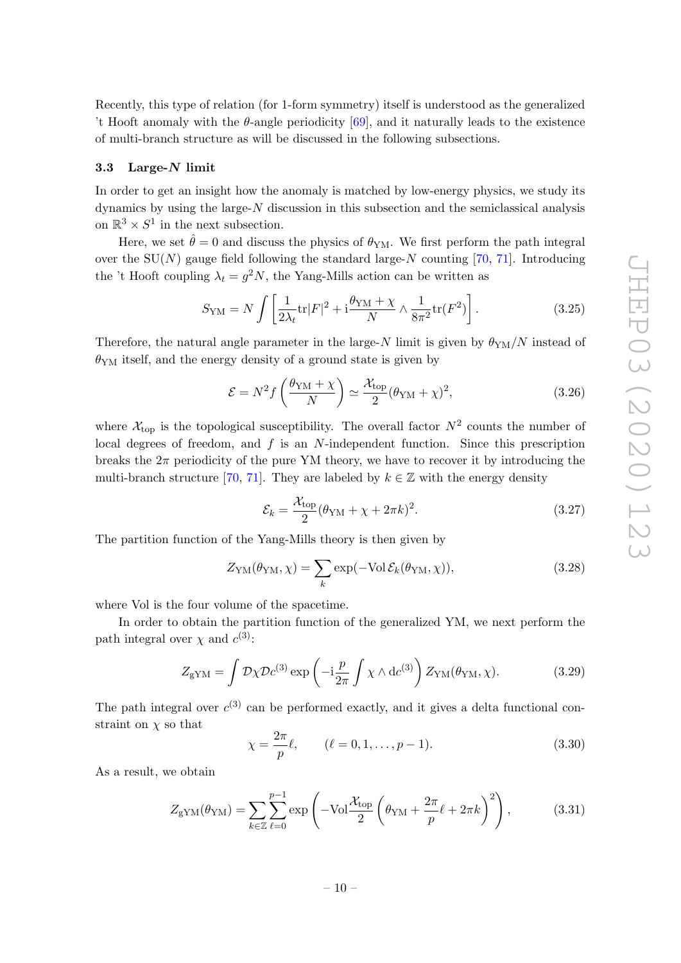Recently, this type of relation (for 1-form symmetry) itself is understood as the generalized 't Hooft anomaly with the  $\theta$ -angle periodicity [\[69\]](#page-29-6), and it naturally leads to the existence of multi-branch structure as will be discussed in the following subsections.

### <span id="page-10-0"></span>3.3 Large-N limit

In order to get an insight how the anomaly is matched by low-energy physics, we study its dynamics by using the large-N discussion in this subsection and the semiclassical analysis on  $\mathbb{R}^3 \times S^1$  in the next subsection.

Here, we set  $\hat{\theta} = 0$  and discuss the physics of  $\theta_{YM}$ . We first perform the path integral over the  $SU(N)$  gauge field following the standard large-N counting [\[70,](#page-29-7) [71\]](#page-29-8). Introducing the 't Hooft coupling  $\lambda_t = g^2 N$ , the Yang-Mills action can be written as

$$
S_{\rm YM} = N \int \left[ \frac{1}{2\lambda_t} \text{tr}|F|^2 + \mathrm{i} \frac{\theta_{\rm YM} + \chi}{N} \wedge \frac{1}{8\pi^2} \text{tr}(F^2) \right]. \tag{3.25}
$$

Therefore, the natural angle parameter in the large-N limit is given by  $\theta_{YM}/N$  instead of  $\theta_{\text{YM}}$  itself, and the energy density of a ground state is given by

$$
\mathcal{E} = N^2 f\left(\frac{\theta_{\rm YM} + \chi}{N}\right) \simeq \frac{\mathcal{X}_{\rm top}}{2} (\theta_{\rm YM} + \chi)^2, \tag{3.26}
$$

where  $\mathcal{X}_{\text{top}}$  is the topological susceptibility. The overall factor  $N^2$  counts the number of local degrees of freedom, and  $f$  is an  $N$ -independent function. Since this prescription breaks the  $2\pi$  periodicity of the pure YM theory, we have to recover it by introducing the multi-branch structure [\[70,](#page-29-7) [71\]](#page-29-8). They are labeled by  $k \in \mathbb{Z}$  with the energy density

$$
\mathcal{E}_k = \frac{\mathcal{X}_{\text{top}}}{2} (\theta_{\text{YM}} + \chi + 2\pi k)^2.
$$
 (3.27)

The partition function of the Yang-Mills theory is then given by

$$
Z_{\text{YM}}(\theta_{\text{YM}}, \chi) = \sum_{k} \exp(-\text{Vol}\,\mathcal{E}_k(\theta_{\text{YM}}, \chi)), \tag{3.28}
$$

where Vol is the four volume of the spacetime.

In order to obtain the partition function of the generalized YM, we next perform the path integral over  $\chi$  and  $c^{(3)}$ :

$$
Z_{\rm gYM} = \int \mathcal{D}\chi \mathcal{D}c^{(3)} \exp\left(-i\frac{p}{2\pi} \int \chi \wedge dc^{(3)}\right) Z_{\rm YM}(\theta_{\rm YM}, \chi). \tag{3.29}
$$

The path integral over  $c^{(3)}$  can be performed exactly, and it gives a delta functional constraint on  $\chi$  so that

$$
\chi = \frac{2\pi}{p}\ell, \qquad (\ell = 0, 1, \dots, p - 1). \tag{3.30}
$$

As a result, we obtain

$$
Z_{\rm gYM}(\theta_{\rm YM}) = \sum_{k \in \mathbb{Z}} \sum_{\ell=0}^{p-1} \exp\left(-\text{Vol}\frac{\mathcal{X}_{\rm top}}{2}\left(\theta_{\rm YM} + \frac{2\pi}{p}\ell + 2\pi k\right)^2\right),\tag{3.31}
$$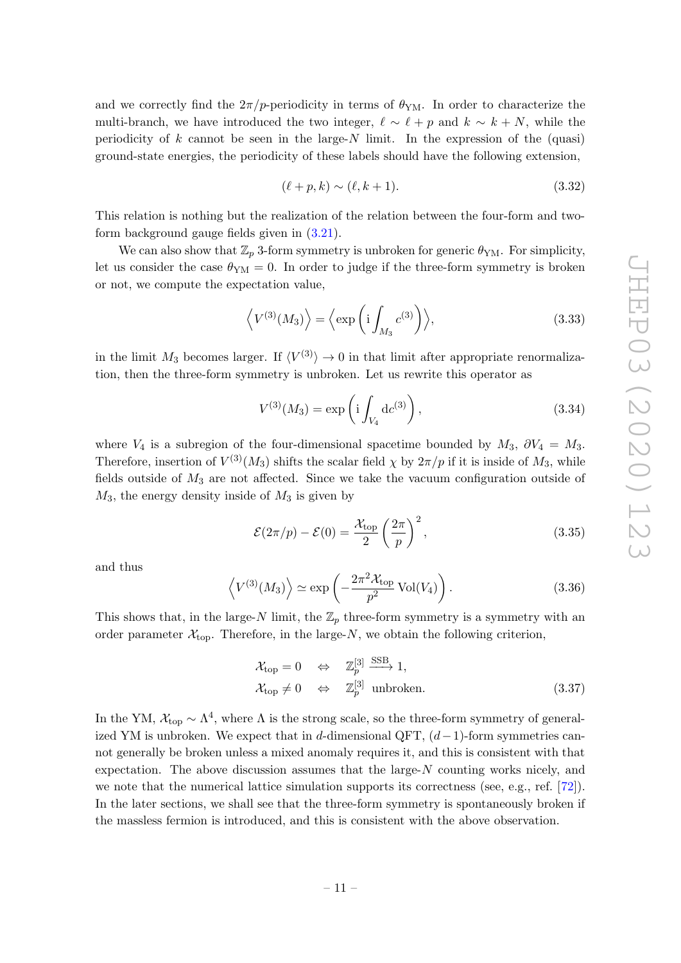and we correctly find the  $2\pi/p$ -periodicity in terms of  $\theta_{YM}$ . In order to characterize the multi-branch, we have introduced the two integer,  $\ell \sim \ell + p$  and  $k \sim k + N$ , while the periodicity of k cannot be seen in the large-N limit. In the expression of the (quasi) ground-state energies, the periodicity of these labels should have the following extension,

$$
(\ell + p, k) \sim (\ell, k + 1). \tag{3.32}
$$

This relation is nothing but the realization of the relation between the four-form and twoform background gauge fields given in [\(3.21\)](#page-9-1).

We can also show that  $\mathbb{Z}_p$  3-form symmetry is unbroken for generic  $\theta_{YM}$ . For simplicity, let us consider the case  $\theta_{YM} = 0$ . In order to judge if the three-form symmetry is broken or not, we compute the expectation value,

$$
\left\langle V^{(3)}(M_3) \right\rangle = \left\langle \exp\left( \mathrm{i} \int_{M_3} c^{(3)} \right) \right\rangle, \tag{3.33}
$$

in the limit  $M_3$  becomes larger. If  $\langle V^{(3)} \rangle \to 0$  in that limit after appropriate renormalization, then the three-form symmetry is unbroken. Let us rewrite this operator as

$$
V^{(3)}(M_3) = \exp\left(i \int_{V_4} dc^{(3)}\right),\tag{3.34}
$$

where  $V_4$  is a subregion of the four-dimensional spacetime bounded by  $M_3$ ,  $\partial V_4 = M_3$ . Therefore, insertion of  $V^{(3)}(M_3)$  shifts the scalar field  $\chi$  by  $2\pi/p$  if it is inside of  $M_3$ , while fields outside of  $M_3$  are not affected. Since we take the vacuum configuration outside of  $M_3$ , the energy density inside of  $M_3$  is given by

$$
\mathcal{E}(2\pi/p) - \mathcal{E}(0) = \frac{\mathcal{X}_{\text{top}}}{2} \left(\frac{2\pi}{p}\right)^2,\tag{3.35}
$$

and thus

$$
\left\langle V^{(3)}(M_3) \right\rangle \simeq \exp\left(-\frac{2\pi^2 \mathcal{X}_{\text{top}}}{p^2} \operatorname{Vol}(V_4)\right). \tag{3.36}
$$

This shows that, in the large-N limit, the  $\mathbb{Z}_p$  three-form symmetry is a symmetry with an order parameter  $\mathcal{X}_{\text{top}}$ . Therefore, in the large-N, we obtain the following criterion,

<span id="page-11-0"></span>
$$
\mathcal{X}_{\text{top}} = 0 \quad \Leftrightarrow \quad \mathbb{Z}_p^{[3]} \xrightarrow{\text{SSB}} 1,
$$
  

$$
\mathcal{X}_{\text{top}} \neq 0 \quad \Leftrightarrow \quad \mathbb{Z}_p^{[3]} \text{ unbroken.}
$$
 (3.37)

In the YM,  $\mathcal{X}_{top} \sim \Lambda^4$ , where  $\Lambda$  is the strong scale, so the three-form symmetry of generalized YM is unbroken. We expect that in d-dimensional QFT,  $(d-1)$ -form symmetries cannot generally be broken unless a mixed anomaly requires it, and this is consistent with that expectation. The above discussion assumes that the large- $N$  counting works nicely, and we note that the numerical lattice simulation supports its correctness (see, e.g., ref. [\[72\]](#page-29-9)). In the later sections, we shall see that the three-form symmetry is spontaneously broken if the massless fermion is introduced, and this is consistent with the above observation.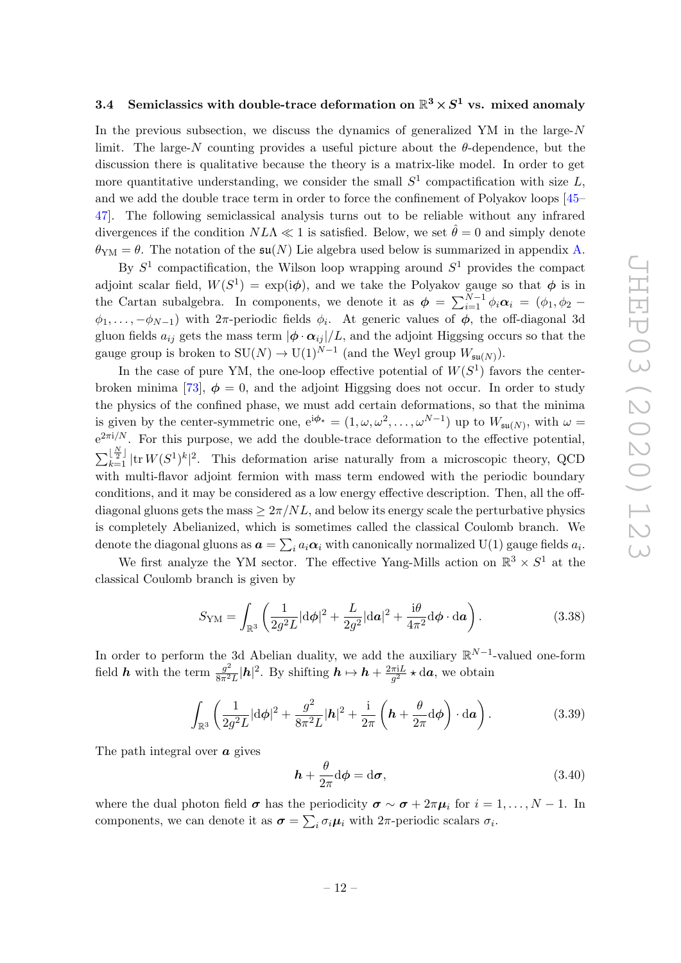# <span id="page-12-0"></span> $3.4$   $\,$  Semiclassics with double-trace deformation on  ${\mathbb R}^3 \times S^1$  vs. mixed anomaly

In the previous subsection, we discuss the dynamics of generalized  $YM$  in the large- $N$ limit. The large-N counting provides a useful picture about the  $\theta$ -dependence, but the discussion there is qualitative because the theory is a matrix-like model. In order to get more quantitative understanding, we consider the small  $S<sup>1</sup>$  compactification with size L, and we add the double trace term in order to force the confinement of Polyakov loops [\[45–](#page-28-1) [47\]](#page-28-3). The following semiclassical analysis turns out to be reliable without any infrared divergences if the condition  $N L \Lambda \ll 1$  is satisfied. Below, we set  $\hat{\theta} = 0$  and simply denote  $\theta_{\text{YM}} = \theta$ . The notation of the  $\mathfrak{su}(N)$  Lie algebra used below is summarized in appendix [A.](#page-24-0)

By  $S^1$  compactification, the Wilson loop wrapping around  $S^1$  provides the compact adjoint scalar field,  $W(S^1) = \exp(i\phi)$ , and we take the Polyakov gauge so that  $\phi$  is in the Cartan subalgebra. In components, we denote it as  $\phi = \sum_{i=1}^{N-1} \phi_i \alpha_i = (\phi_1, \phi_2 - \phi_1)$  $\phi_1, \ldots, -\phi_{N-1}$  with  $2\pi$ -periodic fields  $\phi_i$ . At generic values of  $\phi$ , the off-diagonal 3d gluon fields  $a_{ij}$  gets the mass term  $|\phi \cdot \alpha_{ij}|/L$ , and the adjoint Higgsing occurs so that the gauge group is broken to  $SU(N) \to U(1)^{N-1}$  (and the Weyl group  $W_{\mathfrak{su}(N)}$ ).

In the case of pure YM, the one-loop effective potential of  $W(S^1)$  favors the center-broken minima [\[73\]](#page-29-10),  $\phi = 0$ , and the adjoint Higgsing does not occur. In order to study the physics of the confined phase, we must add certain deformations, so that the minima is given by the center-symmetric one,  $e^{i\phi_{\star}} = (1, \omega, \omega^2, \dots, \omega^{N-1})$  up to  $W_{\mathfrak{su}(N)}$ , with  $\omega =$  $e^{2\pi i/N}$ . For this purpose, we add the double-trace deformation to the effective potential,  $\sum_{k=1}^{\lfloor \frac{N}{2} \rfloor} |tr W(S^1)^k|^2$ . This deformation arise naturally from a microscopic theory, QCD with multi-flavor adjoint fermion with mass term endowed with the periodic boundary conditions, and it may be considered as a low energy effective description. Then, all the offdiagonal gluons gets the mass  $\geq 2\pi/NL$ , and below its energy scale the perturbative physics is completely Abelianized, which is sometimes called the classical Coulomb branch. We denote the diagonal gluons as  $\bm{a} = \sum_i a_i \bm{\alpha}_i$  with canonically normalized U(1) gauge fields  $a_i$ .

We first analyze the YM sector. The effective Yang-Mills action on  $\mathbb{R}^3 \times S^1$  at the classical Coulomb branch is given by

$$
S_{\rm YM} = \int_{\mathbb{R}^3} \left( \frac{1}{2g^2 L} |d\phi|^2 + \frac{L}{2g^2} |da|^2 + \frac{i\theta}{4\pi^2} d\phi \cdot d\mathbf{a} \right). \tag{3.38}
$$

In order to perform the 3d Abelian duality, we add the auxiliary  $\mathbb{R}^{N-1}$ -valued one-form field *h* with the term  $\frac{g^2}{8\pi^2}$  $\frac{g^2}{8\pi^2L}|\boldsymbol{h}|^2$ . By shifting  $\boldsymbol{h} \mapsto \boldsymbol{h} + \frac{2\pi iL}{g^2}$  $\frac{\pi i L}{g^2} \star \mathrm{d}a$ , we obtain

$$
\int_{\mathbb{R}^3} \left( \frac{1}{2g^2 L} |\mathrm{d}\phi|^2 + \frac{g^2}{8\pi^2 L} |\boldsymbol{h}|^2 + \frac{\mathrm{i}}{2\pi} \left( \boldsymbol{h} + \frac{\theta}{2\pi} \mathrm{d}\phi \right) \cdot \mathrm{d}\boldsymbol{a} \right). \tag{3.39}
$$

The path integral over  $\boldsymbol{a}$  gives

$$
\boldsymbol{h} + \frac{\theta}{2\pi} \mathrm{d} \boldsymbol{\phi} = \mathrm{d} \boldsymbol{\sigma},\tag{3.40}
$$

where the dual photon field  $\sigma$  has the periodicity  $\sigma \sim \sigma + 2\pi \mu_i$  for  $i = 1, ..., N - 1$ . In components, we can denote it as  $\sigma = \sum_i \sigma_i \mu_i$  with  $2\pi$ -periodic scalars  $\sigma_i$ .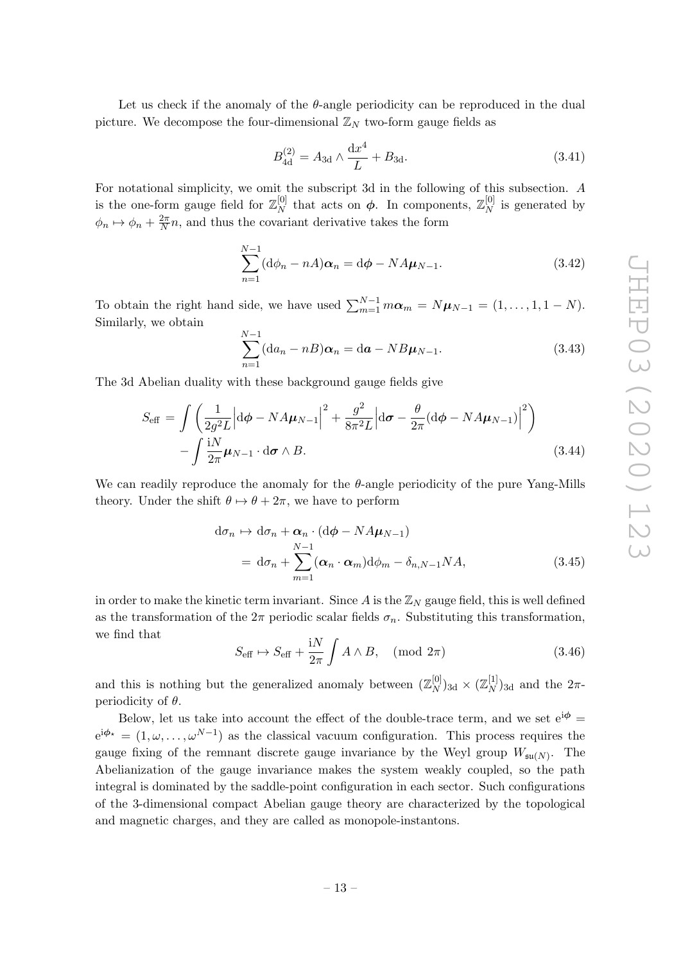Let us check if the anomaly of the  $\theta$ -angle periodicity can be reproduced in the dual picture. We decompose the four-dimensional  $\mathbb{Z}_N$  two-form gauge fields as

$$
B_{4d}^{(2)} = A_{3d} \wedge \frac{dx^4}{L} + B_{3d}.
$$
 (3.41)

For notational simplicity, we omit the subscript 3d in the following of this subsection. A is the one-form gauge field for  $\mathbb{Z}_N^{[0]}$  $\frac{[0]}{N}$  that acts on  $\phi$ . In components,  $\mathbb{Z}_N^{[0]}$  $\frac{N}{N}$  is generated by  $\phi_n \mapsto \phi_n + \frac{2\pi}{N}$  $\frac{2\pi}{N}n$ , and thus the covariant derivative takes the form

$$
\sum_{n=1}^{N-1} (\mathrm{d}\phi_n - nA)\alpha_n = \mathrm{d}\phi - N A \mu_{N-1}.
$$
 (3.42)

To obtain the right hand side, we have used  $\sum_{m=1}^{N-1} m \alpha_m = N \mu_{N-1} = (1, \ldots, 1, 1 - N)$ . Similarly, we obtain

$$
\sum_{n=1}^{N-1} (\mathrm{d}a_n - n) \alpha_n = \mathrm{d}a - NB\mu_{N-1}.
$$
\n(3.43)

The 3d Abelian duality with these background gauge fields give

$$
S_{\text{eff}} = \int \left( \frac{1}{2g^2 L} \left| d\phi - N A \mu_{N-1} \right|^2 + \frac{g^2}{8\pi^2 L} \left| d\sigma - \frac{\theta}{2\pi} (d\phi - N A \mu_{N-1}) \right|^2 \right) - \int \frac{iN}{2\pi} \mu_{N-1} \cdot d\sigma \wedge B.
$$
 (3.44)

We can readily reproduce the anomaly for the  $\theta$ -angle periodicity of the pure Yang-Mills theory. Under the shift  $\theta \mapsto \theta + 2\pi$ , we have to perform

$$
d\sigma_n \mapsto d\sigma_n + \alpha_n \cdot (d\phi - N A \mu_{N-1})
$$
  
=  $d\sigma_n + \sum_{m=1}^{N-1} (\alpha_n \cdot \alpha_m) d\phi_m - \delta_{n,N-1} N A,$  (3.45)

in order to make the kinetic term invariant. Since  $A$  is the  $\mathbb{Z}_N$  gauge field, this is well defined as the transformation of the  $2\pi$  periodic scalar fields  $\sigma_n$ . Substituting this transformation, we find that

$$
S_{\text{eff}} \mapsto S_{\text{eff}} + \frac{\text{i}N}{2\pi} \int A \wedge B, \pmod{2\pi} \tag{3.46}
$$

and this is nothing but the generalized anomaly between  $(\mathbb{Z}_N^{[0]}$  $\binom{[0]}{N}$ 3d ×  $(\mathbb{Z}_{N}^{[1]}$  $\binom{[1]}{N}$ <sub>3d</sub> and the  $2\pi$ periodicity of  $\theta$ .

Below, let us take into account the effect of the double-trace term, and we set  $e^{i\phi}$  =  $e^{i\phi_{\star}} = (1,\omega,\ldots,\omega^{N-1})$  as the classical vacuum configuration. This process requires the gauge fixing of the remnant discrete gauge invariance by the Weyl group  $W_{\mathfrak{su}(N)}$ . The Abelianization of the gauge invariance makes the system weakly coupled, so the path integral is dominated by the saddle-point configuration in each sector. Such configurations of the 3-dimensional compact Abelian gauge theory are characterized by the topological and magnetic charges, and they are called as monopole-instantons.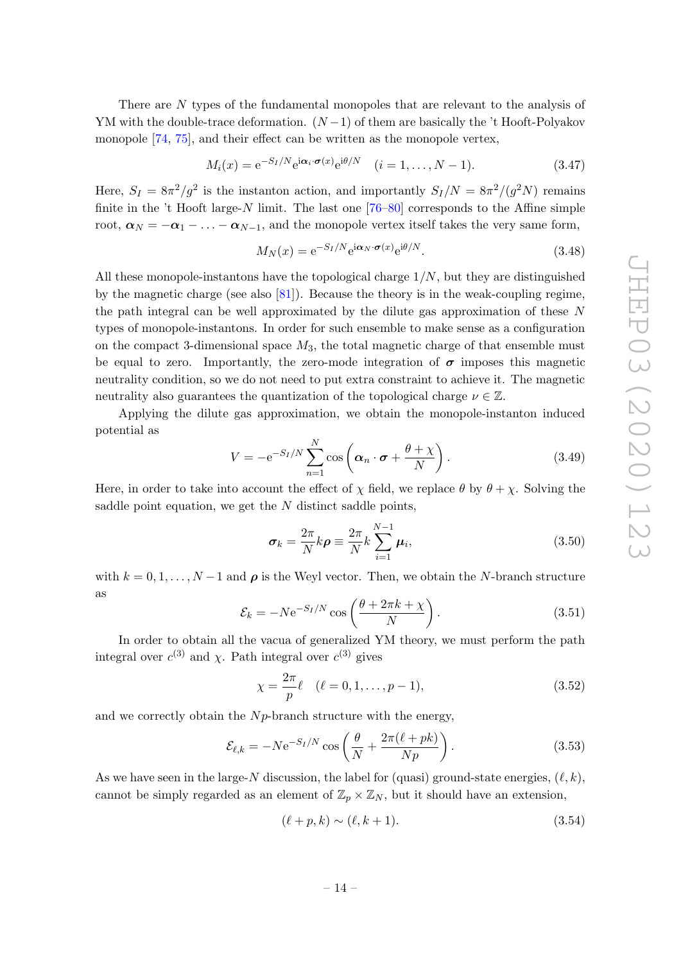There are N types of the fundamental monopoles that are relevant to the analysis of YM with the double-trace deformation.  $(N-1)$  of them are basically the 't Hooft-Polyakov monopole [\[74,](#page-29-11) [75\]](#page-29-12), and their effect can be written as the monopole vertex,

$$
M_i(x) = e^{-S_I/N} e^{i\alpha_i \cdot \boldsymbol{\sigma}(x)} e^{i\theta/N} \quad (i = 1, \dots, N-1).
$$
 (3.47)

Here,  $S_I = 8\pi^2/g^2$  is the instanton action, and importantly  $S_I/N = 8\pi^2/(g^2N)$  remains finite in the 't Hooft large-N limit. The last one  $[76-80]$  $[76-80]$  corresponds to the Affine simple root,  $\alpha_N = -\alpha_1 - \ldots - \alpha_{N-1}$ , and the monopole vertex itself takes the very same form,

$$
M_N(x) = e^{-S_I/N} e^{i\alpha_N \cdot \boldsymbol{\sigma}(x)} e^{i\theta/N}.
$$
\n(3.48)

All these monopole-instantons have the topological charge  $1/N$ , but they are distinguished by the magnetic charge (see also [\[81\]](#page-29-15)). Because the theory is in the weak-coupling regime, the path integral can be well approximated by the dilute gas approximation of these N types of monopole-instantons. In order for such ensemble to make sense as a configuration on the compact 3-dimensional space  $M_3$ , the total magnetic charge of that ensemble must be equal to zero. Importantly, the zero-mode integration of  $\sigma$  imposes this magnetic neutrality condition, so we do not need to put extra constraint to achieve it. The magnetic neutrality also guarantees the quantization of the topological charge  $\nu \in \mathbb{Z}$ .

Applying the dilute gas approximation, we obtain the monopole-instanton induced potential as

$$
V = -e^{-S_I/N} \sum_{n=1}^{N} \cos \left( \alpha_n \cdot \boldsymbol{\sigma} + \frac{\theta + \chi}{N} \right).
$$
 (3.49)

Here, in order to take into account the effect of  $\chi$  field, we replace  $\theta$  by  $\theta + \chi$ . Solving the saddle point equation, we get the  $N$  distinct saddle points,

$$
\sigma_k = \frac{2\pi}{N} k \rho \equiv \frac{2\pi}{N} k \sum_{i=1}^{N-1} \mu_i,
$$
\n(3.50)

with  $k = 0, 1, \ldots, N-1$  and  $\rho$  is the Weyl vector. Then, we obtain the N-branch structure as

$$
\mathcal{E}_k = -N e^{-S_I/N} \cos\left(\frac{\theta + 2\pi k + \chi}{N}\right). \tag{3.51}
$$

In order to obtain all the vacua of generalized YM theory, we must perform the path integral over  $c^{(3)}$  and  $\chi$ . Path integral over  $c^{(3)}$  gives

$$
\chi = \frac{2\pi}{p}\ell \quad (\ell = 0, 1, \dots, p - 1),\tag{3.52}
$$

and we correctly obtain the  $N_p$ -branch structure with the energy,

$$
\mathcal{E}_{\ell,k} = -N e^{-S_I/N} \cos\left(\frac{\theta}{N} + \frac{2\pi(\ell + pk)}{Np}\right). \tag{3.53}
$$

As we have seen in the large-N discussion, the label for (quasi) ground-state energies,  $(\ell, k)$ , cannot be simply regarded as an element of  $\mathbb{Z}_p \times \mathbb{Z}_N$ , but it should have an extension,

$$
(\ell + p, k) \sim (\ell, k + 1). \tag{3.54}
$$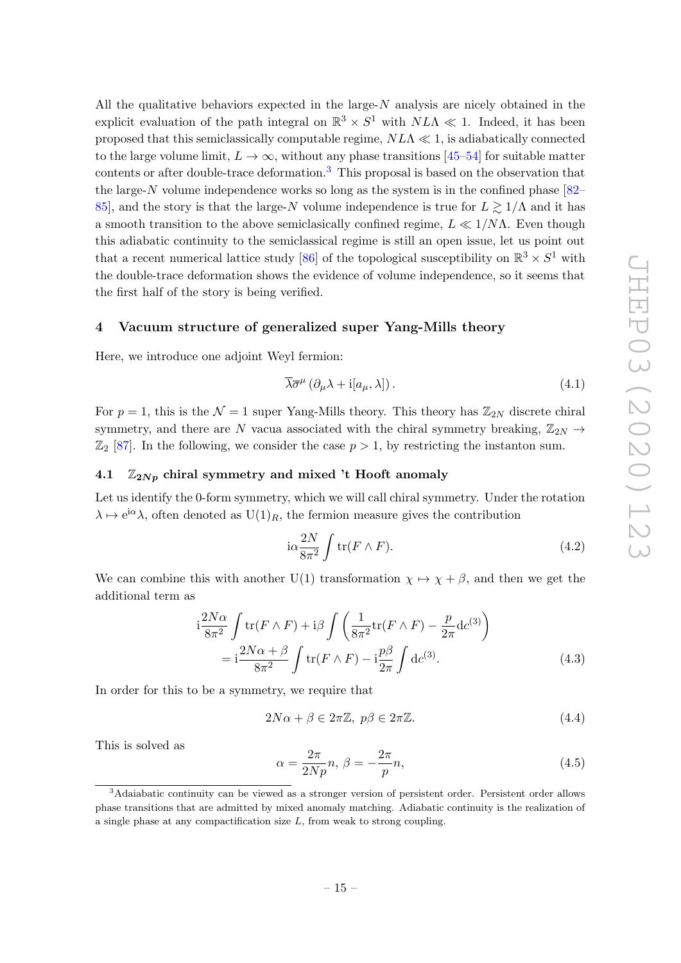All the qualitative behaviors expected in the large- $N$  analysis are nicely obtained in the explicit evaluation of the path integral on  $\mathbb{R}^3 \times S^1$  with  $N L \Lambda \ll 1$ . Indeed, it has been proposed that this semiclassically computable regime,  $N\Lambda \ll 1$ , is adiabatically connected to the large volume limit,  $L \to \infty$ , without any phase transitions [\[45](#page-28-1)[–54\]](#page-28-2) for suitable matter contents or after double-trace deformation.<sup>[3](#page-15-2)</sup> This proposal is based on the observation that the large-N volume independence works so long as the system is in the confined phase [\[82–](#page-30-0) [85\]](#page-30-1), and the story is that the large-N volume independence is true for  $L \ge 1/\Lambda$  and it has a smooth transition to the above semiclasically confined regime,  $L \ll 1/N\Lambda$ . Even though this adiabatic continuity to the semiclassical regime is still an open issue, let us point out that a recent numerical lattice study [\[86\]](#page-30-2) of the topological susceptibility on  $\mathbb{R}^3 \times S^1$  with the double-trace deformation shows the evidence of volume independence, so it seems that the first half of the story is being verified.

### <span id="page-15-0"></span>4 Vacuum structure of generalized super Yang-Mills theory

Here, we introduce one adjoint Weyl fermion:

$$
\overline{\lambda}\overline{\sigma}^{\mu}\left(\partial_{\mu}\lambda + i[a_{\mu},\lambda]\right). \tag{4.1}
$$

For  $p = 1$ , this is the  $\mathcal{N} = 1$  super Yang-Mills theory. This theory has  $\mathbb{Z}_{2N}$  discrete chiral symmetry, and there are N vacua associated with the chiral symmetry breaking,  $\mathbb{Z}_{2N} \rightarrow$  $\mathbb{Z}_2$  [\[87\]](#page-30-3). In the following, we consider the case  $p > 1$ , by restricting the instanton sum.

### <span id="page-15-1"></span>4.1  $\mathbb{Z}_{2Np}$  chiral symmetry and mixed 't Hooft anomaly

Let us identify the 0-form symmetry, which we will call chiral symmetry. Under the rotation  $\lambda \mapsto e^{i\alpha}\lambda$ , often denoted as  $U(1)_R$ , the fermion measure gives the contribution

$$
i\alpha \frac{2N}{8\pi^2} \int tr(F \wedge F). \tag{4.2}
$$

We can combine this with another U(1) transformation  $\chi \mapsto \chi + \beta$ , and then we get the additional term as

$$
i\frac{2N\alpha}{8\pi^2} \int tr(F \wedge F) + i\beta \int \left(\frac{1}{8\pi^2} tr(F \wedge F) - \frac{p}{2\pi} dc^{(3)}\right)
$$
  
= 
$$
i\frac{2N\alpha + \beta}{8\pi^2} \int tr(F \wedge F) - i\frac{p\beta}{2\pi} \int dc^{(3)}.
$$
 (4.3)

In order for this to be a symmetry, we require that

$$
2N\alpha + \beta \in 2\pi \mathbb{Z}, \ p\beta \in 2\pi \mathbb{Z}.
$$
 (4.4)

This is solved as

$$
\alpha = \frac{2\pi}{2Np}n, \beta = -\frac{2\pi}{p}n,\tag{4.5}
$$

<span id="page-15-2"></span><sup>&</sup>lt;sup>3</sup>Adaiabatic continuity can be viewed as a stronger version of persistent order. Persistent order allows phase transitions that are admitted by mixed anomaly matching. Adiabatic continuity is the realization of a single phase at any compactification size L, from weak to strong coupling.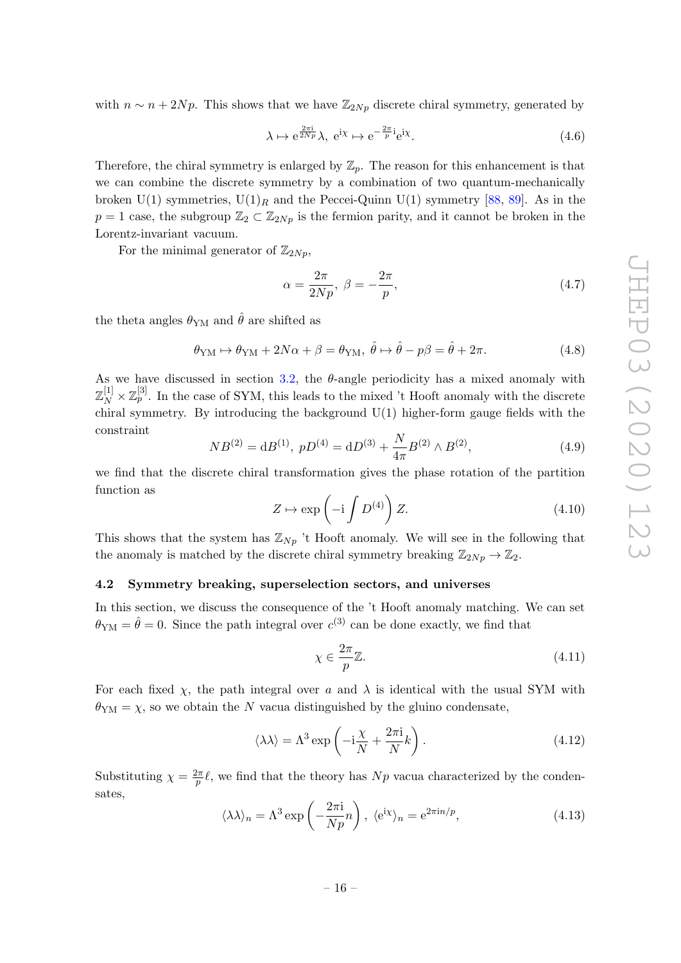with  $n \sim n + 2Np$ . This shows that we have  $\mathbb{Z}_{2Np}$  discrete chiral symmetry, generated by

$$
\lambda \mapsto e^{\frac{2\pi i}{2Np}} \lambda, \ e^{i\chi} \mapsto e^{-\frac{2\pi}{p}i} e^{i\chi}.
$$
 (4.6)

Therefore, the chiral symmetry is enlarged by  $\mathbb{Z}_p$ . The reason for this enhancement is that we can combine the discrete symmetry by a combination of two quantum-mechanically broken U(1) symmetries,  $U(1)_R$  and the Peccei-Quinn U(1) symmetry [\[88,](#page-30-4) [89\]](#page-30-5). As in the  $p = 1$  case, the subgroup  $\mathbb{Z}_2 \subset \mathbb{Z}_{2Np}$  is the fermion parity, and it cannot be broken in the Lorentz-invariant vacuum.

For the minimal generator of  $\mathbb{Z}_{2Np}$ ,

$$
\alpha = \frac{2\pi}{2Np}, \ \beta = -\frac{2\pi}{p}, \tag{4.7}
$$

the theta angles  $\theta_{\text{YM}}$  and  $\hat{\theta}$  are shifted as

$$
\theta_{\rm YM} \mapsto \theta_{\rm YM} + 2N\alpha + \beta = \theta_{\rm YM}, \ \hat{\theta} \mapsto \hat{\theta} - p\beta = \hat{\theta} + 2\pi. \tag{4.8}
$$

As we have discussed in section [3.2,](#page-7-0) the  $\theta$ -angle periodicity has a mixed anomaly with  $\mathbb{Z}_N^{[1]}\times \mathbb{Z}_p^{[3]}$ . In the case of SYM, this leads to the mixed 't Hooft anomaly with the discrete chiral symmetry. By introducing the background  $U(1)$  higher-form gauge fields with the constraint

$$
NB^{(2)} = dB^{(1)}, \ pD^{(4)} = dD^{(3)} + \frac{N}{4\pi}B^{(2)} \wedge B^{(2)}, \tag{4.9}
$$

we find that the discrete chiral transformation gives the phase rotation of the partition function as

$$
Z \mapsto \exp\left(-i \int D^{(4)}\right) Z. \tag{4.10}
$$

This shows that the system has  $\mathbb{Z}_{N_p}$  't Hooft anomaly. We will see in the following that the anomaly is matched by the discrete chiral symmetry breaking  $\mathbb{Z}_{2Np} \to \mathbb{Z}_2$ .

### <span id="page-16-0"></span>4.2 Symmetry breaking, superselection sectors, and universes

In this section, we discuss the consequence of the 't Hooft anomaly matching. We can set  $\theta_{\text{YM}} = \hat{\theta} = 0$ . Since the path integral over  $c^{(3)}$  can be done exactly, we find that

$$
\chi \in \frac{2\pi}{p}\mathbb{Z}.\tag{4.11}
$$

For each fixed  $\chi$ , the path integral over a and  $\lambda$  is identical with the usual SYM with  $\theta_{\text{YM}} = \chi$ , so we obtain the N vacua distinguished by the gluino condensate,

$$
\langle \lambda \lambda \rangle = \Lambda^3 \exp\left(-i\frac{\chi}{N} + \frac{2\pi i}{N}k\right). \tag{4.12}
$$

Substituting  $\chi = \frac{2\pi}{n}$  $\frac{2\pi}{p}$ , we find that the theory has N<sub>p</sub> vacua characterized by the condensates,

<span id="page-16-1"></span>
$$
\langle \lambda \lambda \rangle_n = \Lambda^3 \exp\left(-\frac{2\pi i}{Np}n\right), \ \langle e^{i\chi} \rangle_n = e^{2\pi i n/p}, \tag{4.13}
$$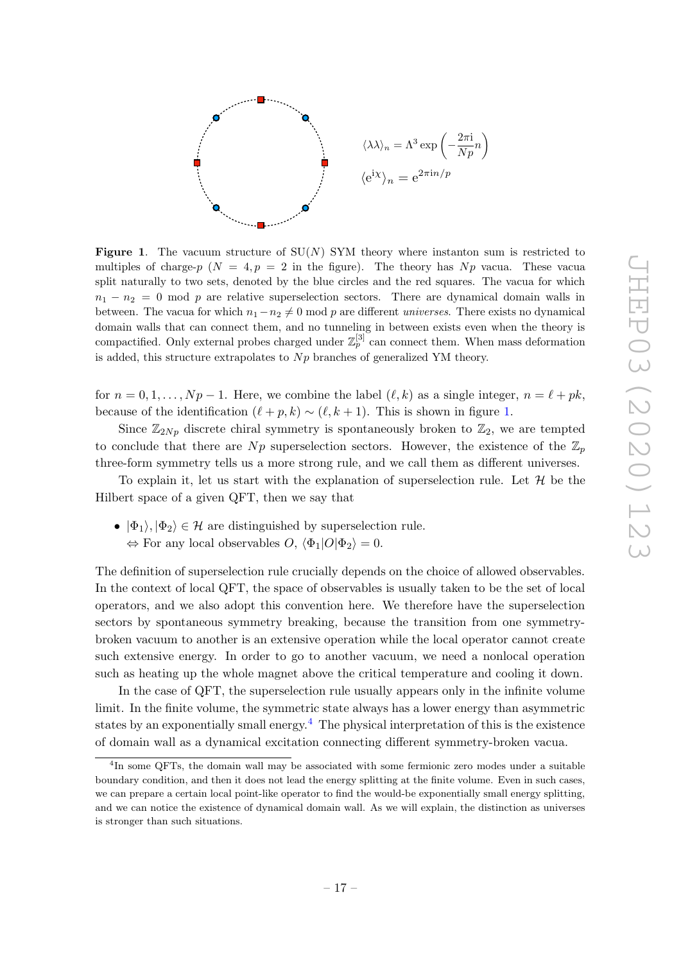

<span id="page-17-0"></span>**Figure 1.** The vacuum structure of  $SU(N)$  SYM theory where instanton sum is restricted to multiples of charge-p ( $N = 4, p = 2$  in the figure). The theory has Np vacua. These vacua split naturally to two sets, denoted by the blue circles and the red squares. The vacua for which  $n_1 - n_2 = 0$  mod p are relative superselection sectors. There are dynamical domain walls in between. The vacua for which  $n_1 - n_2 \neq 0$  mod p are different universes. There exists no dynamical domain walls that can connect them, and no tunneling in between exists even when the theory is compactified. Only external probes charged under  $\mathbb{Z}_p^{[3]}$  can connect them. When mass deformation is added, this structure extrapolates to  $Np$  branches of generalized YM theory.

for  $n = 0, 1, \ldots, Np - 1$ . Here, we combine the label  $(\ell, k)$  as a single integer,  $n = \ell + pk$ , because of the identification  $(\ell + p, k) \sim (\ell, k + 1)$ . This is shown in figure [1.](#page-17-0)

Since  $\mathbb{Z}_{2Np}$  discrete chiral symmetry is spontaneously broken to  $\mathbb{Z}_2$ , we are tempted to conclude that there are  $Np$  superselection sectors. However, the existence of the  $\mathbb{Z}_p$ three-form symmetry tells us a more strong rule, and we call them as different universes.

To explain it, let us start with the explanation of superselection rule. Let  $\mathcal{H}$  be the Hilbert space of a given QFT, then we say that

•  $|\Phi_1\rangle, |\Phi_2\rangle \in \mathcal{H}$  are distinguished by superselection rule.  $\Leftrightarrow$  For any local observables  $O, \langle \Phi_1|O|\Phi_2 \rangle = 0.$ 

The definition of superselection rule crucially depends on the choice of allowed observables. In the context of local QFT, the space of observables is usually taken to be the set of local operators, and we also adopt this convention here. We therefore have the superselection sectors by spontaneous symmetry breaking, because the transition from one symmetrybroken vacuum to another is an extensive operation while the local operator cannot create such extensive energy. In order to go to another vacuum, we need a nonlocal operation such as heating up the whole magnet above the critical temperature and cooling it down.

In the case of QFT, the superselection rule usually appears only in the infinite volume limit. In the finite volume, the symmetric state always has a lower energy than asymmetric states by an exponentially small energy.<sup>[4](#page-17-1)</sup> The physical interpretation of this is the existence of domain wall as a dynamical excitation connecting different symmetry-broken vacua.

<span id="page-17-1"></span><sup>&</sup>lt;sup>4</sup>In some QFTs, the domain wall may be associated with some fermionic zero modes under a suitable boundary condition, and then it does not lead the energy splitting at the finite volume. Even in such cases, we can prepare a certain local point-like operator to find the would-be exponentially small energy splitting, and we can notice the existence of dynamical domain wall. As we will explain, the distinction as universes is stronger than such situations.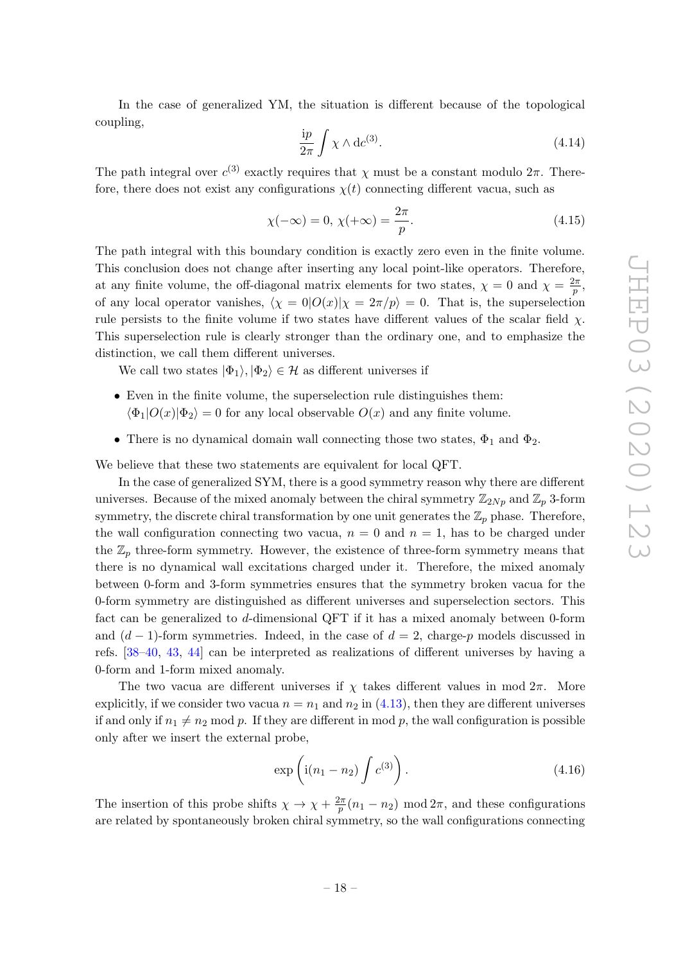In the case of generalized YM, the situation is different because of the topological coupling,

<span id="page-18-0"></span>
$$
\frac{ip}{2\pi} \int \chi \wedge \mathrm{d}c^{(3)}.\tag{4.14}
$$

The path integral over  $c^{(3)}$  exactly requires that  $\chi$  must be a constant modulo  $2\pi$ . Therefore, there does not exist any configurations  $\chi(t)$  connecting different vacua, such as

$$
\chi(-\infty) = 0, \chi(+\infty) = \frac{2\pi}{p}.\tag{4.15}
$$

The path integral with this boundary condition is exactly zero even in the finite volume. This conclusion does not change after inserting any local point-like operators. Therefore, at any finite volume, the off-diagonal matrix elements for two states,  $\chi = 0$  and  $\chi = \frac{2\pi}{n}$  $\frac{2\pi}{p},$ of any local operator vanishes,  $\langle \chi = 0|O(x)|\chi = 2\pi/p \rangle = 0$ . That is, the superselection rule persists to the finite volume if two states have different values of the scalar field  $\chi$ . This superselection rule is clearly stronger than the ordinary one, and to emphasize the distinction, we call them different universes.

We call two states  $|\Phi_1\rangle, |\Phi_2\rangle \in \mathcal{H}$  as different universes if

- Even in the finite volume, the superselection rule distinguishes them:  $\langle \Phi_1|O(x)|\Phi_2\rangle = 0$  for any local observable  $O(x)$  and any finite volume.
- There is no dynamical domain wall connecting those two states,  $\Phi_1$  and  $\Phi_2$ .

We believe that these two statements are equivalent for local QFT.

In the case of generalized SYM, there is a good symmetry reason why there are different universes. Because of the mixed anomaly between the chiral symmetry  $\mathbb{Z}_{2Np}$  and  $\mathbb{Z}_p$  3-form symmetry, the discrete chiral transformation by one unit generates the  $\mathbb{Z}_p$  phase. Therefore, the wall configuration connecting two vacua,  $n = 0$  and  $n = 1$ , has to be charged under the  $\mathbb{Z}_p$  three-form symmetry. However, the existence of three-form symmetry means that there is no dynamical wall excitations charged under it. Therefore, the mixed anomaly between 0-form and 3-form symmetries ensures that the symmetry broken vacua for the 0-form symmetry are distinguished as different universes and superselection sectors. This fact can be generalized to d-dimensional QFT if it has a mixed anomaly between 0-form and  $(d-1)$ -form symmetries. Indeed, in the case of  $d=2$ , charge-p models discussed in refs. [\[38–](#page-27-0)[40,](#page-27-1) [43,](#page-28-11) [44\]](#page-28-0) can be interpreted as realizations of different universes by having a 0-form and 1-form mixed anomaly.

The two vacua are different universes if  $\chi$  takes different values in mod  $2\pi$ . More explicitly, if we consider two vacua  $n = n_1$  and  $n_2$  in [\(4.13\)](#page-16-1), then they are different universes if and only if  $n_1 \neq n_2$  mod p. If they are different in mod p, the wall configuration is possible only after we insert the external probe,

$$
\exp\left(i(n_1 - n_2)\int c^{(3)}\right). \tag{4.16}
$$

The insertion of this probe shifts  $\chi \to \chi + \frac{2\pi}{n}$  $\frac{2\pi}{p}(n_1 - n_2) \mod 2\pi$ , and these configurations are related by spontaneously broken chiral symmetry, so the wall configurations connecting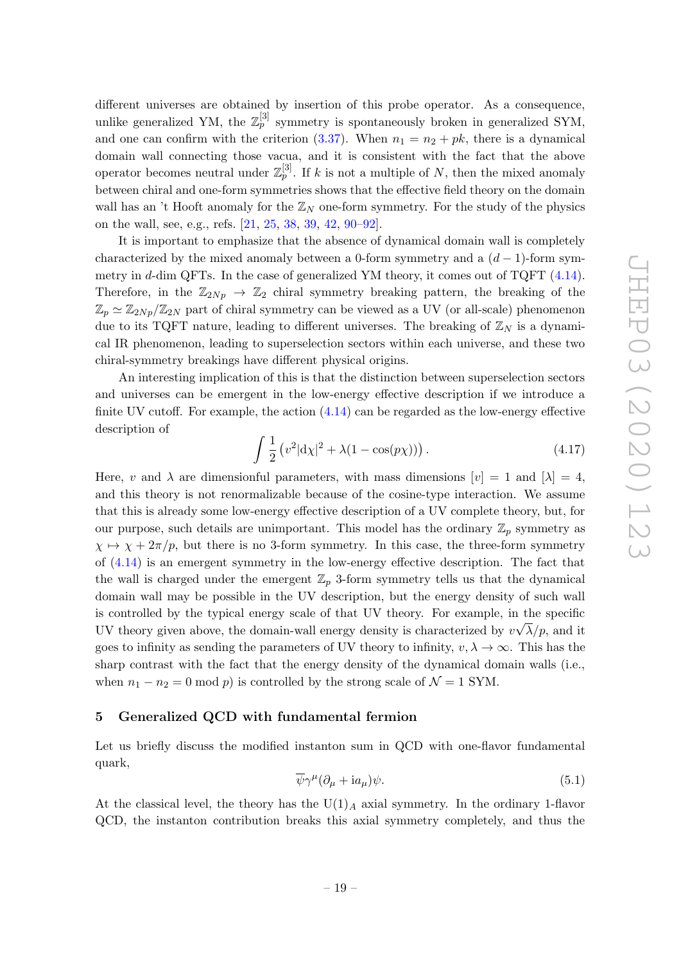different universes are obtained by insertion of this probe operator. As a consequence, unlike generalized YM, the  $\mathbb{Z}_p^{[3]}$  symmetry is spontaneously broken in generalized SYM, and one can confirm with the criterion  $(3.37)$ . When  $n_1 = n_2 + pk$ , there is a dynamical domain wall connecting those vacua, and it is consistent with the fact that the above operator becomes neutral under  $\mathbb{Z}_p^{[3]}$ . If k is not a multiple of N, then the mixed anomaly between chiral and one-form symmetries shows that the effective field theory on the domain wall has an 't Hooft anomaly for the  $\mathbb{Z}_N$  one-form symmetry. For the study of the physics on the wall, see, e.g., refs. [\[21,](#page-26-8) [25,](#page-27-2) [38,](#page-27-0) [39,](#page-27-3) [42,](#page-27-4) [90](#page-30-6)[–92\]](#page-30-7).

It is important to emphasize that the absence of dynamical domain wall is completely characterized by the mixed anomaly between a 0-form symmetry and a  $(d-1)$ -form symmetry in d-dim QFTs. In the case of generalized YM theory, it comes out of TQFT  $(4.14)$ . Therefore, in the  $\mathbb{Z}_{2Np} \to \mathbb{Z}_2$  chiral symmetry breaking pattern, the breaking of the  $\mathbb{Z}_p \simeq \mathbb{Z}_{2Np}/\mathbb{Z}_{2N}$  part of chiral symmetry can be viewed as a UV (or all-scale) phenomenon due to its TQFT nature, leading to different universes. The breaking of  $\mathbb{Z}_N$  is a dynamical IR phenomenon, leading to superselection sectors within each universe, and these two chiral-symmetry breakings have different physical origins.

An interesting implication of this is that the distinction between superselection sectors and universes can be emergent in the low-energy effective description if we introduce a finite UV cutoff. For example, the action  $(4.14)$  can be regarded as the low-energy effective description of

$$
\int \frac{1}{2} (v^2 |d\chi|^2 + \lambda (1 - \cos(p\chi))) \,. \tag{4.17}
$$

Here, v and  $\lambda$  are dimensionful parameters, with mass dimensions  $[v] = 1$  and  $[\lambda] = 4$ , and this theory is not renormalizable because of the cosine-type interaction. We assume that this is already some low-energy effective description of a UV complete theory, but, for our purpose, such details are unimportant. This model has the ordinary  $\mathbb{Z}_p$  symmetry as  $\chi \mapsto \chi + 2\pi/p$ , but there is no 3-form symmetry. In this case, the three-form symmetry of [\(4.14\)](#page-18-0) is an emergent symmetry in the low-energy effective description. The fact that the wall is charged under the emergent  $\mathbb{Z}_p$  3-form symmetry tells us that the dynamical domain wall may be possible in the UV description, but the energy density of such wall is controlled by the typical energy scale of that UV theory. For example, in the specific UV theory given above, the domain-wall energy density is characterized by  $v\sqrt{\lambda}/p$ , and it goes to infinity as sending the parameters of UV theory to infinity,  $v, \lambda \to \infty$ . This has the sharp contrast with the fact that the energy density of the dynamical domain walls (i.e., when  $n_1 - n_2 = 0 \text{ mod } p$  is controlled by the strong scale of  $\mathcal{N} = 1 \text{ SYM}$ .

#### <span id="page-19-0"></span>5 Generalized QCD with fundamental fermion

Let us briefly discuss the modified instanton sum in QCD with one-flavor fundamental quark,

$$
\overline{\psi}\gamma^{\mu}(\partial_{\mu} + i a_{\mu})\psi.
$$
\n(5.1)

At the classical level, the theory has the  $U(1)_A$  axial symmetry. In the ordinary 1-flavor QCD, the instanton contribution breaks this axial symmetry completely, and thus the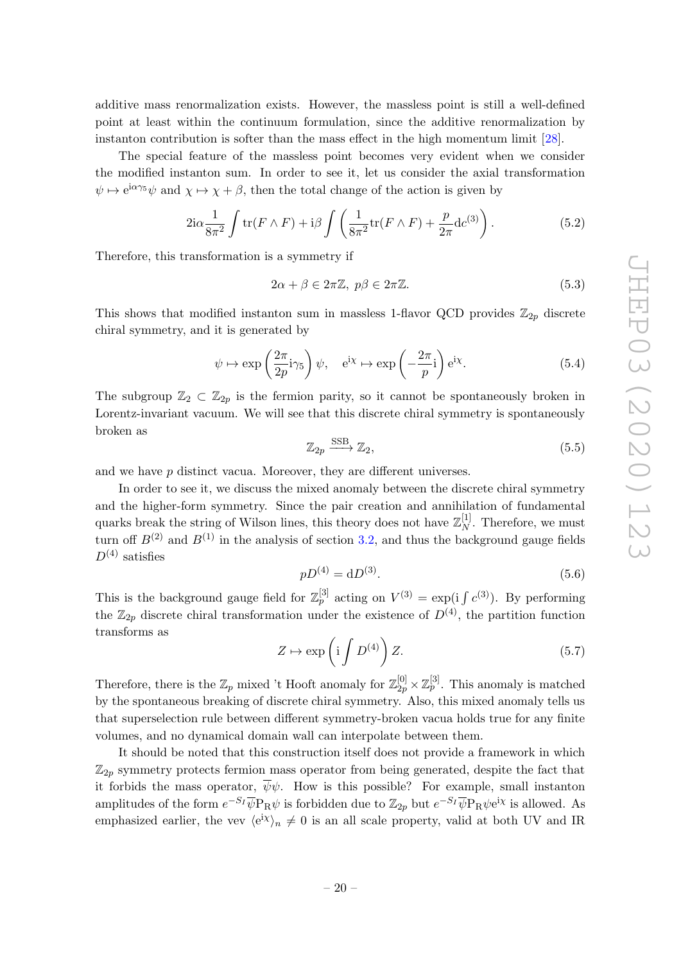additive mass renormalization exists. However, the massless point is still a well-defined point at least within the continuum formulation, since the additive renormalization by instanton contribution is softer than the mass effect in the high momentum limit [\[28\]](#page-27-5).

The special feature of the massless point becomes very evident when we consider the modified instanton sum. In order to see it, let us consider the axial transformation  $\psi \mapsto e^{i\alpha\gamma_5}\psi$  and  $\chi \mapsto \chi + \beta$ , then the total change of the action is given by

$$
2i\alpha \frac{1}{8\pi^2} \int tr(F \wedge F) + i\beta \int \left(\frac{1}{8\pi^2} tr(F \wedge F) + \frac{p}{2\pi} dc^{(3)}\right).
$$
 (5.2)

Therefore, this transformation is a symmetry if

$$
2\alpha + \beta \in 2\pi \mathbb{Z}, \ p\beta \in 2\pi \mathbb{Z}.
$$
 (5.3)

This shows that modified instanton sum in massless 1-flavor QCD provides  $\mathbb{Z}_{2p}$  discrete chiral symmetry, and it is generated by

$$
\psi \mapsto \exp\left(\frac{2\pi}{2p}i\gamma_5\right)\psi, \quad e^{i\chi} \mapsto \exp\left(-\frac{2\pi}{p}i\right)e^{i\chi}.\tag{5.4}
$$

The subgroup  $\mathbb{Z}_2 \subset \mathbb{Z}_{2p}$  is the fermion parity, so it cannot be spontaneously broken in Lorentz-invariant vacuum. We will see that this discrete chiral symmetry is spontaneously broken as

$$
\mathbb{Z}_{2p} \xrightarrow{\text{SSB}} \mathbb{Z}_2,\tag{5.5}
$$

and we have p distinct vacua. Moreover, they are different universes.

In order to see it, we discuss the mixed anomaly between the discrete chiral symmetry and the higher-form symmetry. Since the pair creation and annihilation of fundamental quarks break the string of Wilson lines, this theory does not have  $\mathbb{Z}_N^{[1]}$  $N^{\lfloor 1 \rfloor}$ . Therefore, we must turn off  $B^{(2)}$  and  $B^{(1)}$  in the analysis of section [3.2,](#page-7-0) and thus the background gauge fields  $D^{(4)}$  satisfies

$$
pD^{(4)} = dD^{(3)}.\t\t(5.6)
$$

This is the background gauge field for  $\mathbb{Z}_p^{[3]}$  acting on  $V^{(3)} = \exp(i \int c^{(3)})$ . By performing the  $\mathbb{Z}_{2p}$  discrete chiral transformation under the existence of  $D^{(4)}$ , the partition function transforms as

$$
Z \mapsto \exp\left(i \int D^{(4)}\right) Z. \tag{5.7}
$$

Therefore, there is the  $\mathbb{Z}_p$  mixed 't Hooft anomaly for  $\mathbb{Z}_{2p}^{[0]} \times \mathbb{Z}_p^{[3]}$ . This anomaly is matched by the spontaneous breaking of discrete chiral symmetry. Also, this mixed anomaly tells us that superselection rule between different symmetry-broken vacua holds true for any finite volumes, and no dynamical domain wall can interpolate between them.

It should be noted that this construction itself does not provide a framework in which  $\mathbb{Z}_{2p}$  symmetry protects fermion mass operator from being generated, despite the fact that it forbids the mass operator,  $\overline{\psi}\psi$ . How is this possible? For example, small instanton amplitudes of the form  $e^{-S_I}\overline{\psi}P_R\psi$  is forbidden due to  $\mathbb{Z}_{2p}$  but  $e^{-S_I}\overline{\psi}P_R\psi$ e<sup>ix</sup> is allowed. As emphasized earlier, the vev  $\langle e^{ix} \rangle_n \neq 0$  is an all scale property, valid at both UV and IR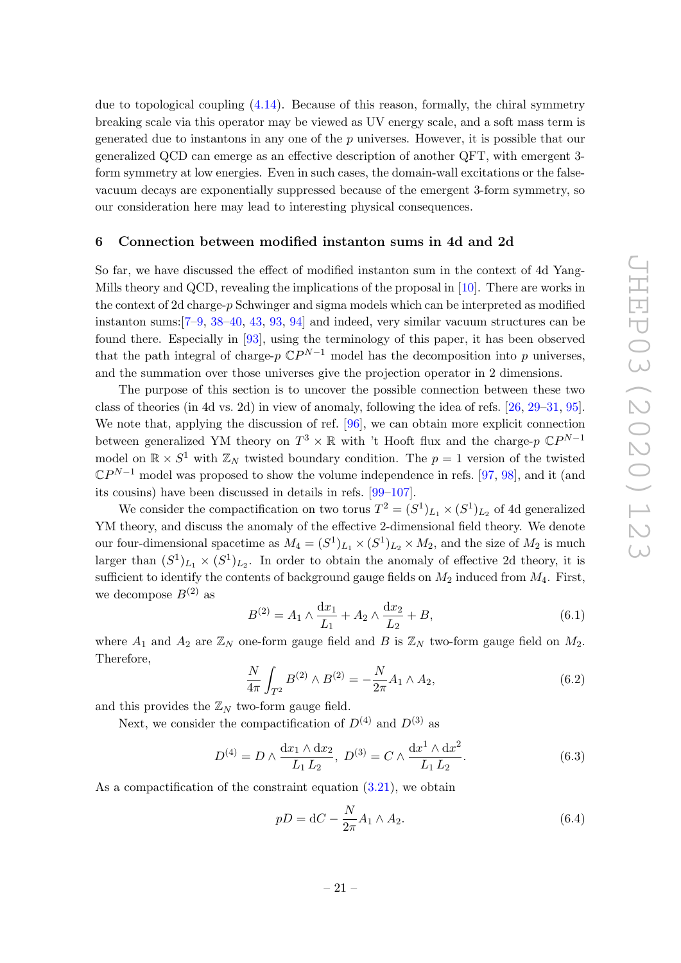due to topological coupling [\(4.14\)](#page-18-0). Because of this reason, formally, the chiral symmetry breaking scale via this operator may be viewed as UV energy scale, and a soft mass term is generated due to instantons in any one of the  $p$  universes. However, it is possible that our generalized QCD can emerge as an effective description of another QFT, with emergent 3 form symmetry at low energies. Even in such cases, the domain-wall excitations or the falsevacuum decays are exponentially suppressed because of the emergent 3-form symmetry, so our consideration here may lead to interesting physical consequences.

#### <span id="page-21-0"></span>6 Connection between modified instanton sums in 4d and 2d

So far, we have discussed the effect of modified instanton sum in the context of 4d Yang-Mills theory and QCD, revealing the implications of the proposal in [\[10\]](#page-26-3). There are works in the context of 2d charge- $p$  Schwinger and sigma models which can be interpreted as modified instanton sums:[\[7](#page-26-1)[–9,](#page-26-2) [38](#page-27-0)[–40,](#page-27-1) [43,](#page-28-11) [93,](#page-30-8) [94\]](#page-30-9) and indeed, very similar vacuum structures can be found there. Especially in [\[93\]](#page-30-8), using the terminology of this paper, it has been observed that the path integral of charge- $p \, \mathbb{C}P^{N-1}$  model has the decomposition into p universes, and the summation over those universes give the projection operator in 2 dimensions.

The purpose of this section is to uncover the possible connection between these two class of theories (in 4d vs. 2d) in view of anomaly, following the idea of refs. [\[26,](#page-27-6) [29](#page-27-7)[–31,](#page-27-8) [95\]](#page-30-10). We note that, applying the discussion of ref. [\[96\]](#page-30-11), we can obtain more explicit connection between generalized YM theory on  $T^3 \times \mathbb{R}$  with 't Hooft flux and the charge-p  $\mathbb{C}P^{N-1}$ model on  $\mathbb{R} \times S^1$  with  $\mathbb{Z}_N$  twisted boundary condition. The  $p = 1$  version of the twisted  $\mathbb{C}P^{N-1}$  model was proposed to show the volume independence in refs. [\[97,](#page-30-12) [98\]](#page-30-13), and it (and its cousins) have been discussed in details in refs. [\[99](#page-30-14)[–107\]](#page-31-0).

We consider the compactification on two torus  $T^2 = (S^1)_{L_1} \times (S^1)_{L_2}$  of 4d generalized YM theory, and discuss the anomaly of the effective 2-dimensional field theory. We denote our four-dimensional spacetime as  $M_4 = (S^1)_{L_1} \times (S^1)_{L_2} \times M_2$ , and the size of  $M_2$  is much larger than  $(S^1)_{L_1} \times (S^1)_{L_2}$ . In order to obtain the anomaly of effective 2d theory, it is sufficient to identify the contents of background gauge fields on  $M_2$  induced from  $M_4$ . First, we decompose  $B^{(2)}$  as

$$
B^{(2)} = A_1 \wedge \frac{dx_1}{L_1} + A_2 \wedge \frac{dx_2}{L_2} + B,\tag{6.1}
$$

where  $A_1$  and  $A_2$  are  $\mathbb{Z}_N$  one-form gauge field and B is  $\mathbb{Z}_N$  two-form gauge field on  $M_2$ . Therefore,

$$
\frac{N}{4\pi} \int_{T^2} B^{(2)} \wedge B^{(2)} = -\frac{N}{2\pi} A_1 \wedge A_2,\tag{6.2}
$$

and this provides the  $\mathbb{Z}_N$  two-form gauge field.

Next, we consider the compactification of  $D^{(4)}$  and  $D^{(3)}$  as

$$
D^{(4)} = D \wedge \frac{dx_1 \wedge dx_2}{L_1 L_2}, \ D^{(3)} = C \wedge \frac{dx^1 \wedge dx^2}{L_1 L_2}.
$$
 (6.3)

As a compactification of the constraint equation  $(3.21)$ , we obtain

$$
pD = dC - \frac{N}{2\pi}A_1 \wedge A_2. \tag{6.4}
$$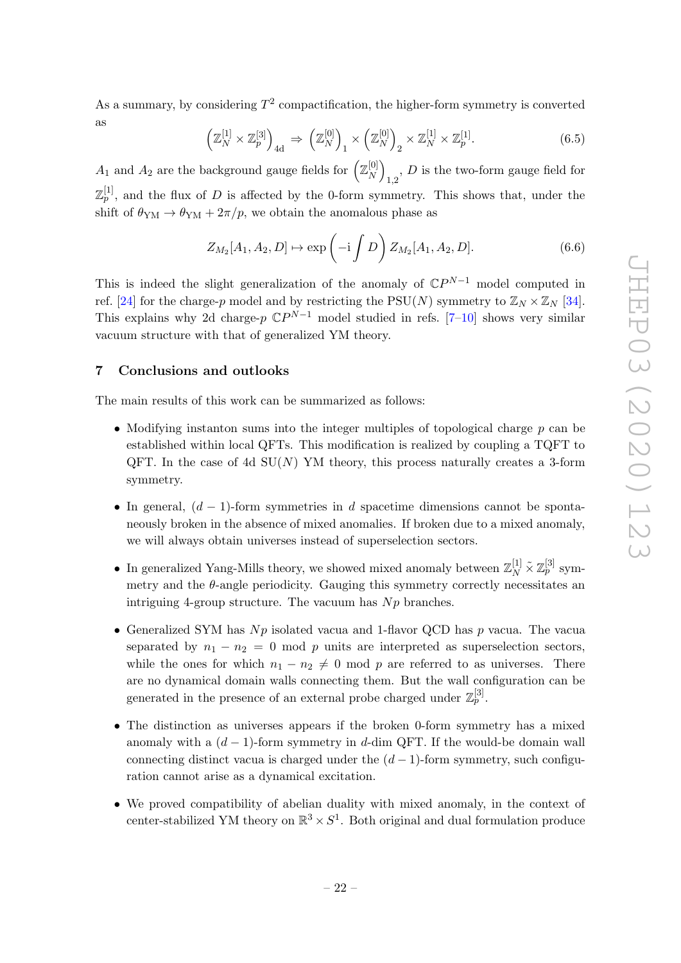As a summary, by considering  $T^2$  compactification, the higher-form symmetry is converted as

$$
\left(\mathbb{Z}_N^{[1]}\times\mathbb{Z}_p^{[3]}\right)_{4d} \Rightarrow \left(\mathbb{Z}_N^{[0]}\right)_1 \times \left(\mathbb{Z}_N^{[0]}\right)_2 \times \mathbb{Z}_N^{[1]} \times \mathbb{Z}_p^{[1]}.
$$
\n(6.5)

 $A_1$  and  $A_2$  are the background gauge fields for  $\left(\mathbb{Z}_N^{[0]} \right)$  $\binom{[0]}{N}$  $_{1,2}$ , D is the two-form gauge field for  $\mathbb{Z}_p^{[1]}$ , and the flux of D is affected by the 0-form symmetry. This shows that, under the shift of  $\theta_{\text{YM}} \rightarrow \theta_{\text{YM}} + 2\pi/p$ , we obtain the anomalous phase as

$$
Z_{M_2}[A_1, A_2, D] \mapsto \exp\left(-i \int D\right) Z_{M_2}[A_1, A_2, D]. \tag{6.6}
$$

This is indeed the slight generalization of the anomaly of  $\mathbb{C}P^{N-1}$  model computed in ref. [\[24\]](#page-26-9) for the charge-p model and by restricting the PSU(N) symmetry to  $\mathbb{Z}_N \times \mathbb{Z}_N$  [\[34\]](#page-27-9). This explains why 2d charge-p  $\mathbb{C}P^{N-1}$  model studied in refs. [\[7](#page-26-1)[–10\]](#page-26-3) shows very similar vacuum structure with that of generalized YM theory.

# <span id="page-22-0"></span>7 Conclusions and outlooks

The main results of this work can be summarized as follows:

- Modifying instanton sums into the integer multiples of topological charge  $p$  can be established within local QFTs. This modification is realized by coupling a TQFT to QFT. In the case of 4d  $SU(N)$  YM theory, this process naturally creates a 3-form symmetry.
- In general,  $(d-1)$ -form symmetries in d spacetime dimensions cannot be spontaneously broken in the absence of mixed anomalies. If broken due to a mixed anomaly, we will always obtain universes instead of superselection sectors.
- In generalized Yang-Mills theory, we showed mixed anomaly between  $\mathbb{Z}_N^{[1]} \tilde{\times} \mathbb{Z}_p^{[3]}$  symmetry and the  $\theta$ -angle periodicity. Gauging this symmetry correctly necessitates an intriguing 4-group structure. The vacuum has  $Np$  branches.
- Generalized SYM has  $Np$  isolated vacua and 1-flavor QCD has p vacua. The vacua separated by  $n_1 - n_2 = 0$  mod p units are interpreted as superselection sectors, while the ones for which  $n_1 - n_2 \neq 0$  mod p are referred to as universes. There are no dynamical domain walls connecting them. But the wall configuration can be generated in the presence of an external probe charged under  $\mathbb{Z}_p^{[3]}$ .
- The distinction as universes appears if the broken 0-form symmetry has a mixed anomaly with a  $(d-1)$ -form symmetry in d-dim QFT. If the would-be domain wall connecting distinct vacua is charged under the  $(d-1)$ -form symmetry, such configuration cannot arise as a dynamical excitation.
- We proved compatibility of abelian duality with mixed anomaly, in the context of center-stabilized YM theory on  $\mathbb{R}^3 \times S^1$ . Both original and dual formulation produce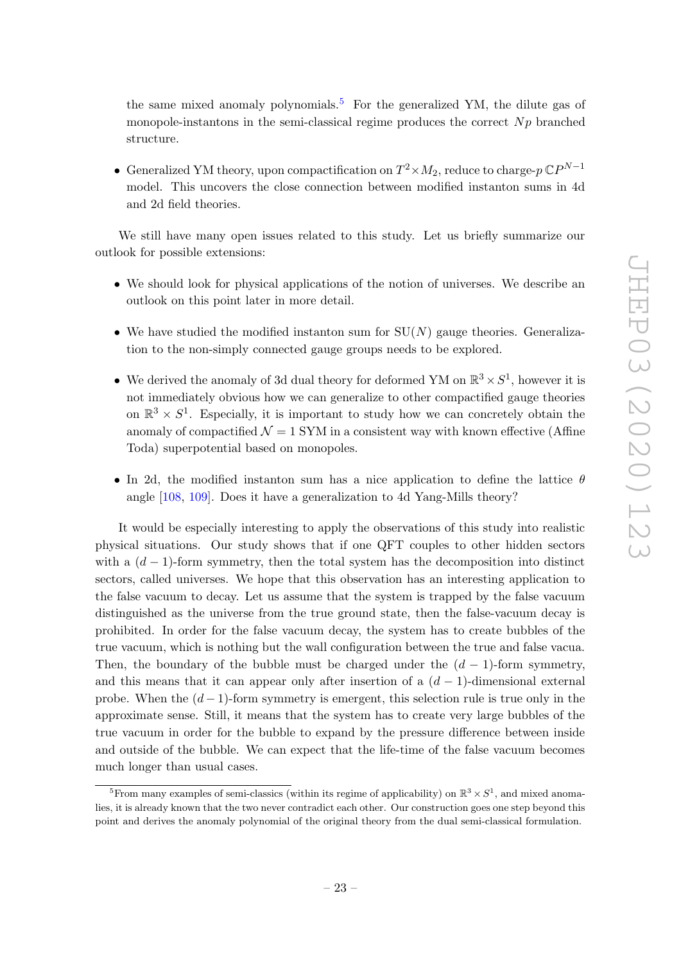the same mixed anomaly polynomials.<sup>[5](#page-23-0)</sup> For the generalized YM, the dilute gas of monopole-instantons in the semi-classical regime produces the correct  $Np$  branched structure.

• Generalized YM theory, upon compactification on  $T^2 \times M_2$ , reduce to charge- $p \mathbb{C}P^{N-1}$ model. This uncovers the close connection between modified instanton sums in 4d and 2d field theories.

We still have many open issues related to this study. Let us briefly summarize our outlook for possible extensions:

- We should look for physical applications of the notion of universes. We describe an outlook on this point later in more detail.
- We have studied the modified instanton sum for  $SU(N)$  gauge theories. Generalization to the non-simply connected gauge groups needs to be explored.
- We derived the anomaly of 3d dual theory for deformed YM on  $\mathbb{R}^3 \times S^1$ , however it is not immediately obvious how we can generalize to other compactified gauge theories on  $\mathbb{R}^3 \times S^1$ . Especially, it is important to study how we can concretely obtain the anomaly of compactified  $\mathcal{N} = 1$  SYM in a consistent way with known effective (Affine Toda) superpotential based on monopoles.
- In 2d, the modified instanton sum has a nice application to define the lattice  $\theta$ angle [\[108,](#page-31-1) [109\]](#page-31-2). Does it have a generalization to 4d Yang-Mills theory?

It would be especially interesting to apply the observations of this study into realistic physical situations. Our study shows that if one QFT couples to other hidden sectors with a  $(d-1)$ -form symmetry, then the total system has the decomposition into distinct sectors, called universes. We hope that this observation has an interesting application to the false vacuum to decay. Let us assume that the system is trapped by the false vacuum distinguished as the universe from the true ground state, then the false-vacuum decay is prohibited. In order for the false vacuum decay, the system has to create bubbles of the true vacuum, which is nothing but the wall configuration between the true and false vacua. Then, the boundary of the bubble must be charged under the  $(d-1)$ -form symmetry, and this means that it can appear only after insertion of a  $(d-1)$ -dimensional external probe. When the  $(d-1)$ -form symmetry is emergent, this selection rule is true only in the approximate sense. Still, it means that the system has to create very large bubbles of the true vacuum in order for the bubble to expand by the pressure difference between inside and outside of the bubble. We can expect that the life-time of the false vacuum becomes much longer than usual cases.

<span id="page-23-0"></span><sup>&</sup>lt;sup>5</sup>From many examples of semi-classics (within its regime of applicability) on  $\mathbb{R}^3 \times S^1$ , and mixed anomalies, it is already known that the two never contradict each other. Our construction goes one step beyond this point and derives the anomaly polynomial of the original theory from the dual semi-classical formulation.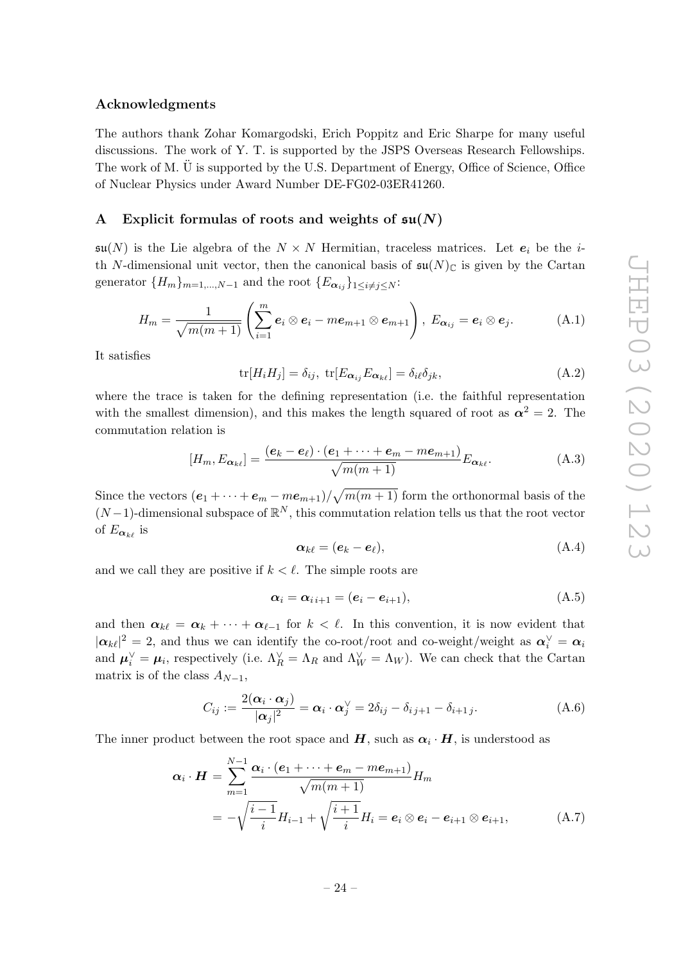### Acknowledgments

The authors thank Zohar Komargodski, Erich Poppitz and Eric Sharpe for many useful discussions. The work of Y. T. is supported by the JSPS Overseas Research Fellowships. The work of M. U is supported by the U.S. Department of Energy, Office of Science, Office of Nuclear Physics under Award Number DE-FG02-03ER41260.

# <span id="page-24-0"></span>A Explicit formulas of roots and weights of  $\mathfrak{su}(N)$

 $\mathfrak{su}(N)$  is the Lie algebra of the  $N \times N$  Hermitian, traceless matrices. Let  $e_i$  be the ith N-dimensional unit vector, then the canonical basis of  $\mathfrak{su}(N)_{\mathbb{C}}$  is given by the Cartan generator  ${H_m}_{m=1,\dots,N-1}$  and the root  ${E_{\alpha_{ij}}}_{1\leq i\neq j\leq N}$ :

$$
H_m = \frac{1}{\sqrt{m(m+1)}} \left( \sum_{i=1}^m \mathbf{e}_i \otimes \mathbf{e}_i - m \mathbf{e}_{m+1} \otimes \mathbf{e}_{m+1} \right), \ E_{\alpha_{ij}} = \mathbf{e}_i \otimes \mathbf{e}_j. \tag{A.1}
$$

It satisfies

$$
\text{tr}[H_i H_j] = \delta_{ij}, \ \text{tr}[E_{\alpha_{ij}} E_{\alpha_{k\ell}}] = \delta_{i\ell} \delta_{jk}, \tag{A.2}
$$

where the trace is taken for the defining representation (i.e. the faithful representation with the smallest dimension), and this makes the length squared of root as  $\alpha^2 = 2$ . The commutation relation is

$$
[H_m, E_{\alpha_{k\ell}}] = \frac{(\mathbf{e}_k - \mathbf{e}_\ell) \cdot (\mathbf{e}_1 + \dots + \mathbf{e}_m - m\mathbf{e}_{m+1})}{\sqrt{m(m+1)}} E_{\alpha_{k\ell}}.
$$
 (A.3)

Since the vectors  $(e_1 + \cdots + e_m - me_{m+1})/\sqrt{m(m+1)}$  form the orthonormal basis of the  $(N-1)$ -dimensional subspace of  $\mathbb{R}^N$ , this commutation relation tells us that the root vector of  $E_{\alpha_{k\ell}}$  is

$$
\boldsymbol{\alpha}_{k\ell} = (\boldsymbol{e}_k - \boldsymbol{e}_\ell),\tag{A.4}
$$

and we call they are positive if  $k < \ell$ . The simple roots are

$$
\boldsymbol{\alpha}_i = \boldsymbol{\alpha}_{i\,i+1} = (\boldsymbol{e}_i - \boldsymbol{e}_{i+1}), \tag{A.5}
$$

and then  $\alpha_{k\ell} = \alpha_k + \cdots + \alpha_{\ell-1}$  for  $k < \ell$ . In this convention, it is now evident that  $|\alpha_{k\ell}|^2 = 2$ , and thus we can identify the co-root/root and co-weight/weight as  $\alpha_i^{\vee} = \alpha_i$ and  $\mu_i^{\vee} = \mu_i$ , respectively (i.e.  $\Lambda_R^{\vee} = \Lambda_R$  and  $\Lambda_W^{\vee} = \Lambda_W$ ). We can check that the Cartan matrix is of the class  $A_{N-1}$ ,

$$
C_{ij} := \frac{2(\boldsymbol{\alpha}_i \cdot \boldsymbol{\alpha}_j)}{|\boldsymbol{\alpha}_j|^2} = \boldsymbol{\alpha}_i \cdot \boldsymbol{\alpha}_j^{\vee} = 2\delta_{ij} - \delta_{i,j+1} - \delta_{i+1,j}.
$$
 (A.6)

The inner product between the root space and  $H$ , such as  $\alpha_i \cdot H$ , is understood as

$$
\alpha_i \cdot \boldsymbol{H} = \sum_{m=1}^{N-1} \frac{\alpha_i \cdot (\boldsymbol{e}_1 + \dots + \boldsymbol{e}_m - m \boldsymbol{e}_{m+1})}{\sqrt{m(m+1)}} H_m
$$
  
= 
$$
-\sqrt{\frac{i-1}{i}} H_{i-1} + \sqrt{\frac{i+1}{i}} H_i = \boldsymbol{e}_i \otimes \boldsymbol{e}_i - \boldsymbol{e}_{i+1} \otimes \boldsymbol{e}_{i+1},
$$
 (A.7)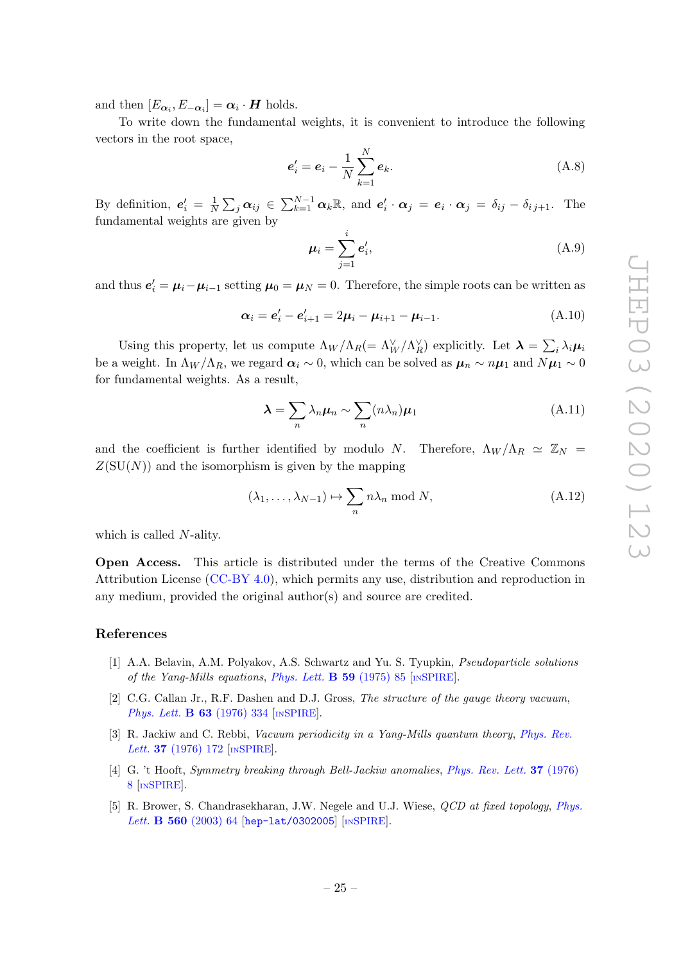and then  $[E_{\alpha_i}, E_{-\alpha_i}] = \alpha_i \cdot H$  holds.

To write down the fundamental weights, it is convenient to introduce the following vectors in the root space,

$$
\boldsymbol{e}'_i = \boldsymbol{e}_i - \frac{1}{N} \sum_{k=1}^N \boldsymbol{e}_k. \tag{A.8}
$$

By definition,  $e'_i = \frac{1}{N}$  $\frac{1}{N}\sum_j \alpha_{ij} \in \sum_{k=1}^{N-1} \alpha_k \mathbb{R}$ , and  $e'_i \cdot \alpha_j = e_i \cdot \alpha_j = \delta_{ij} - \delta_{ij+1}$ . The fundamental weights are given by

$$
\mu_i = \sum_{j=1}^i e'_i,\tag{A.9}
$$

and thus  $e'_{i} = \mu_{i} - \mu_{i-1}$  setting  $\mu_{0} = \mu_{N} = 0$ . Therefore, the simple roots can be written as

$$
\alpha_i = e'_i - e'_{i+1} = 2\mu_i - \mu_{i+1} - \mu_{i-1}.
$$
\n(A.10)

Using this property, let us compute  $\Lambda_W/\Lambda_R (= \Lambda_W^{\vee}/\Lambda_R^{\vee})$  explicitly. Let  $\lambda = \sum_i \lambda_i \mu_i$ be a weight. In  $\Lambda_W/\Lambda_R$ , we regard  $\alpha_i \sim 0$ , which can be solved as  $\mu_n \sim n\mu_1$  and  $N\mu_1 \sim 0$ for fundamental weights. As a result,

$$
\lambda = \sum_{n} \lambda_n \mu_n \sim \sum_{n} (n \lambda_n) \mu_1 \tag{A.11}
$$

and the coefficient is further identified by modulo N. Therefore,  $\Lambda_W/\Lambda_R \simeq \mathbb{Z}_N =$  $Z(SU(N))$  and the isomorphism is given by the mapping

$$
(\lambda_1, \dots, \lambda_{N-1}) \mapsto \sum_n n\lambda_n \bmod N,
$$
 (A.12)

which is called N-ality.

Open Access. This article is distributed under the terms of the Creative Commons Attribution License [\(CC-BY 4.0\)](https://creativecommons.org/licenses/by/4.0/), which permits any use, distribution and reproduction in any medium, provided the original author(s) and source are credited.

# References

- <span id="page-25-0"></span>[1] A.A. Belavin, A.M. Polyakov, A.S. Schwartz and Yu. S. Tyupkin, Pseudoparticle solutions of the Yang-Mills equations, [Phys. Lett.](https://doi.org/10.1016/0370-2693(75)90163-X)  $\bf{B}$  59 (1975) 85 [IN[SPIRE](https://inspirehep.net/search?p=find+J+%22Phys.Lett.,B59,85%22)].
- [2] C.G. Callan Jr., R.F. Dashen and D.J. Gross, The structure of the gauge theory vacuum, [Phys. Lett.](https://doi.org/10.1016/0370-2693(76)90277-X) **B 63** (1976) 334 [IN[SPIRE](https://inspirehep.net/search?p=find+J+%22Phys.Lett.,B63,334%22)].
- [3] R. Jackiw and C. Rebbi, Vacuum periodicity in a Yang-Mills quantum theory, [Phys. Rev.](https://doi.org/10.1103/PhysRevLett.37.172) Lett. **37** [\(1976\) 172](https://doi.org/10.1103/PhysRevLett.37.172) [IN[SPIRE](https://inspirehep.net/search?p=find+J+%22Phys.Rev.Lett.,37,172%22)].
- <span id="page-25-1"></span>[4] G. 't Hooft, Symmetry breaking through Bell-Jackiw anomalies, [Phys. Rev. Lett.](https://doi.org/10.1103/PhysRevLett.37.8) 37 (1976) [8](https://doi.org/10.1103/PhysRevLett.37.8) [IN[SPIRE](https://inspirehep.net/search?p=find+J+%22Phys.Rev.Lett.,37,8%22)].
- <span id="page-25-2"></span>[5] R. Brower, S. Chandrasekharan, J.W. Negele and U.J. Wiese, QCD at fixed topology, [Phys.](https://doi.org/10.1016/S0370-2693(03)00369-1) Lett. **B 560** [\(2003\) 64](https://doi.org/10.1016/S0370-2693(03)00369-1) [[hep-lat/0302005](https://arxiv.org/abs/hep-lat/0302005)] [IN[SPIRE](https://inspirehep.net/search?p=find+EPRINT+hep-lat/0302005)].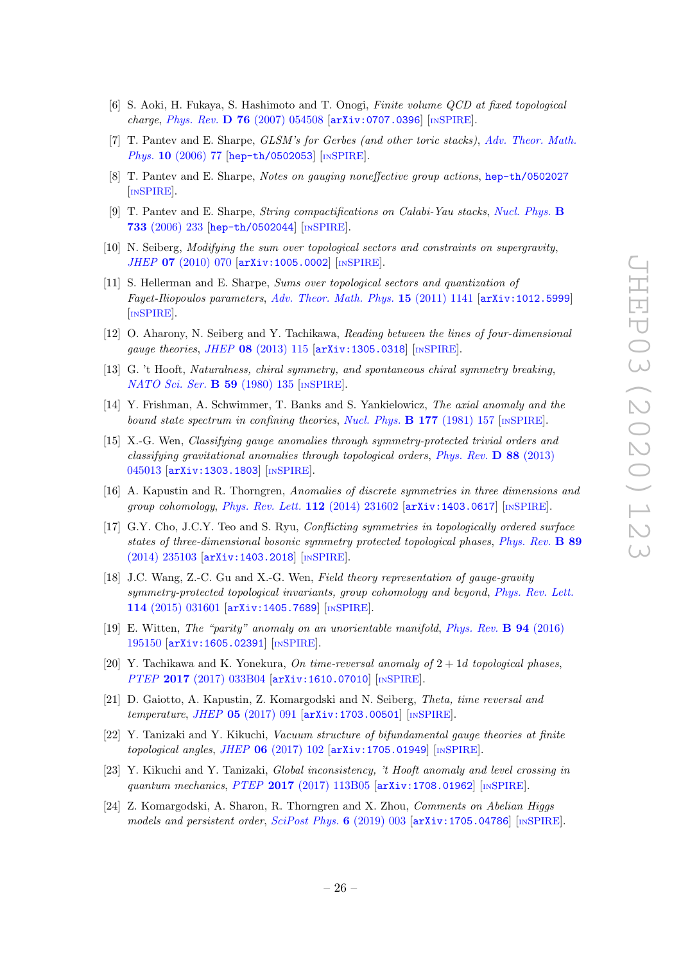- <span id="page-26-0"></span>[6] S. Aoki, H. Fukaya, S. Hashimoto and T. Onogi, Finite volume QCD at fixed topological charge, Phys. Rev. D 76 [\(2007\) 054508](https://doi.org/10.1103/PhysRevD.76.054508) [[arXiv:0707.0396](https://arxiv.org/abs/0707.0396)] [IN[SPIRE](https://inspirehep.net/search?p=find+EPRINT+arXiv:0707.0396)].
- <span id="page-26-1"></span>[7] T. Pantev and E. Sharpe, GLSM's for Gerbes (and other toric stacks), [Adv. Theor. Math.](https://doi.org/10.4310/ATMP.2006.v10.n1.a4) Phys. 10 [\(2006\) 77](https://doi.org/10.4310/ATMP.2006.v10.n1.a4) [[hep-th/0502053](https://arxiv.org/abs/hep-th/0502053)] [IN[SPIRE](https://inspirehep.net/search?p=find+EPRINT+hep-th/0502053)].
- [8] T. Pantev and E. Sharpe, Notes on gauging noneffective group actions, [hep-th/0502027](https://arxiv.org/abs/hep-th/0502027) [IN[SPIRE](https://inspirehep.net/search?p=find+EPRINT+hep-th/0502027)].
- <span id="page-26-2"></span>[9] T. Pantev and E. Sharpe, String compactifications on Calabi-Yau stacks, [Nucl. Phys.](https://doi.org/10.1016/j.nuclphysb.2005.10.035) B 733 [\(2006\) 233](https://doi.org/10.1016/j.nuclphysb.2005.10.035) [[hep-th/0502044](https://arxiv.org/abs/hep-th/0502044)] [IN[SPIRE](https://inspirehep.net/search?p=find+EPRINT+hep-th/0502044)].
- <span id="page-26-3"></span>[10] N. Seiberg, Modifying the sum over topological sectors and constraints on supergravity, JHEP 07 [\(2010\) 070](https://doi.org/10.1007/JHEP07(2010)070) [[arXiv:1005.0002](https://arxiv.org/abs/1005.0002)] [IN[SPIRE](https://inspirehep.net/search?p=find+EPRINT+arXiv:1005.0002)].
- [11] S. Hellerman and E. Sharpe, Sums over topological sectors and quantization of Fayet-Iliopoulos parameters, [Adv. Theor. Math. Phys.](https://doi.org/10.4310/ATMP.2011.v15.n4.a7) 15 (2011) 1141 [[arXiv:1012.5999](https://arxiv.org/abs/1012.5999)] [IN[SPIRE](https://inspirehep.net/search?p=find+EPRINT+arXiv:1012.5999)].
- <span id="page-26-4"></span>[12] O. Aharony, N. Seiberg and Y. Tachikawa, Reading between the lines of four-dimensional gauge theories, JHEP 08 [\(2013\) 115](https://doi.org/10.1007/JHEP08(2013)115) [[arXiv:1305.0318](https://arxiv.org/abs/1305.0318)] [IN[SPIRE](https://inspirehep.net/search?p=find+EPRINT+arXiv:1305.0318)].
- <span id="page-26-5"></span>[13] G. 't Hooft, Naturalness, chiral symmetry, and spontaneous chiral symmetry breaking, [NATO Sci. Ser.](https://doi.org/10.1007/978-1-4684-7571-5_9) **B 59** (1980) 135 [IN[SPIRE](https://inspirehep.net/search?p=find+J+%22NATO Sci.Ser.B,59,135%22)].
- <span id="page-26-6"></span>[14] Y. Frishman, A. Schwimmer, T. Banks and S. Yankielowicz, The axial anomaly and the bound state spectrum in confining theories, [Nucl. Phys.](https://doi.org/10.1016/0550-3213(81)90268-6)  $\bf{B}$  177 (1981) 157 [IN[SPIRE](https://inspirehep.net/search?p=find+J+%22Nucl.Phys.,B177,157%22)].
- <span id="page-26-7"></span>[15] X.-G. Wen, Classifying gauge anomalies through symmetry-protected trivial orders and classifying gravitational anomalies through topological orders, [Phys. Rev.](https://doi.org/10.1103/PhysRevD.88.045013) D 88 (2013) [045013](https://doi.org/10.1103/PhysRevD.88.045013) [[arXiv:1303.1803](https://arxiv.org/abs/1303.1803)] [IN[SPIRE](https://inspirehep.net/search?p=find+EPRINT+arXiv:1303.1803)].
- [16] A. Kapustin and R. Thorngren, Anomalies of discrete symmetries in three dimensions and group cohomology, [Phys. Rev. Lett.](https://doi.org/10.1103/PhysRevLett.112.231602)  $112$  (2014) 231602 [[arXiv:1403.0617](https://arxiv.org/abs/1403.0617)] [IN[SPIRE](https://inspirehep.net/search?p=find+EPRINT+arXiv:1403.0617)].
- [17] G.Y. Cho, J.C.Y. Teo and S. Ryu, Conflicting symmetries in topologically ordered surface states of three-dimensional bosonic symmetry protected topological phases, [Phys. Rev.](https://doi.org/10.1103/PhysRevB.89.235103) B 89 [\(2014\) 235103](https://doi.org/10.1103/PhysRevB.89.235103) [[arXiv:1403.2018](https://arxiv.org/abs/1403.2018)] [IN[SPIRE](https://inspirehep.net/search?p=find+EPRINT+arXiv:1403.2018)].
- [18] J.C. Wang, Z.-C. Gu and X.-G. Wen, Field theory representation of gauge-gravity symmetry-protected topological invariants, group cohomology and beyond, [Phys. Rev. Lett.](https://doi.org/10.1103/PhysRevLett.114.031601) 114 [\(2015\) 031601](https://doi.org/10.1103/PhysRevLett.114.031601) [[arXiv:1405.7689](https://arxiv.org/abs/1405.7689)] [IN[SPIRE](https://inspirehep.net/search?p=find+EPRINT+arXiv:1405.7689)].
- [19] E. Witten, The "parity" anomaly on an unorientable manifold, [Phys. Rev.](https://doi.org/10.1103/PhysRevB.94.195150) B 94 (2016) [195150](https://doi.org/10.1103/PhysRevB.94.195150) [[arXiv:1605.02391](https://arxiv.org/abs/1605.02391)] [IN[SPIRE](https://inspirehep.net/search?p=find+EPRINT+arXiv:1605.02391)].
- [20] Y. Tachikawa and K. Yonekura, On time-reversal anomaly of  $2 + 1d$  topological phases, PTEP 2017 [\(2017\) 033B04](https://doi.org/10.1093/ptep/ptx010) [[arXiv:1610.07010](https://arxiv.org/abs/1610.07010)] [IN[SPIRE](https://inspirehep.net/search?p=find+EPRINT+arXiv:1610.07010)].
- <span id="page-26-8"></span>[21] D. Gaiotto, A. Kapustin, Z. Komargodski and N. Seiberg, Theta, time reversal and temperature, JHEP 05 [\(2017\) 091](https://doi.org/10.1007/JHEP05(2017)091) [[arXiv:1703.00501](https://arxiv.org/abs/1703.00501)] [IN[SPIRE](https://inspirehep.net/search?p=find+EPRINT+arXiv:1703.00501)].
- [22] Y. Tanizaki and Y. Kikuchi, Vacuum structure of bifundamental gauge theories at finite topological angles, JHEP  $06$  [\(2017\) 102](https://doi.org/10.1007/JHEP06(2017)102)  $\text{arXiv:1705.01949}$  $\text{arXiv:1705.01949}$  $\text{arXiv:1705.01949}$  [IN[SPIRE](https://inspirehep.net/search?p=find+EPRINT+arXiv:1705.01949)].
- [23] Y. Kikuchi and Y. Tanizaki, Global inconsistency, 't Hooft anomaly and level crossing in quantum mechanics, PTEP 2017 [\(2017\) 113B05](https://doi.org/10.1093/ptep/ptx148) [[arXiv:1708.01962](https://arxiv.org/abs/1708.01962)] [IN[SPIRE](https://inspirehep.net/search?p=find+EPRINT+arXiv:1708.01962)].
- <span id="page-26-9"></span>[24] Z. Komargodski, A. Sharon, R. Thorngren and X. Zhou, Comments on Abelian Higgs models and persistent order, [SciPost Phys.](https://doi.org/10.21468/SciPostPhys.6.1.003) 6 (2019) 003  $\ar{xiv:1705.04786}$  [IN[SPIRE](https://inspirehep.net/search?p=find+EPRINT+arXiv:1705.04786)].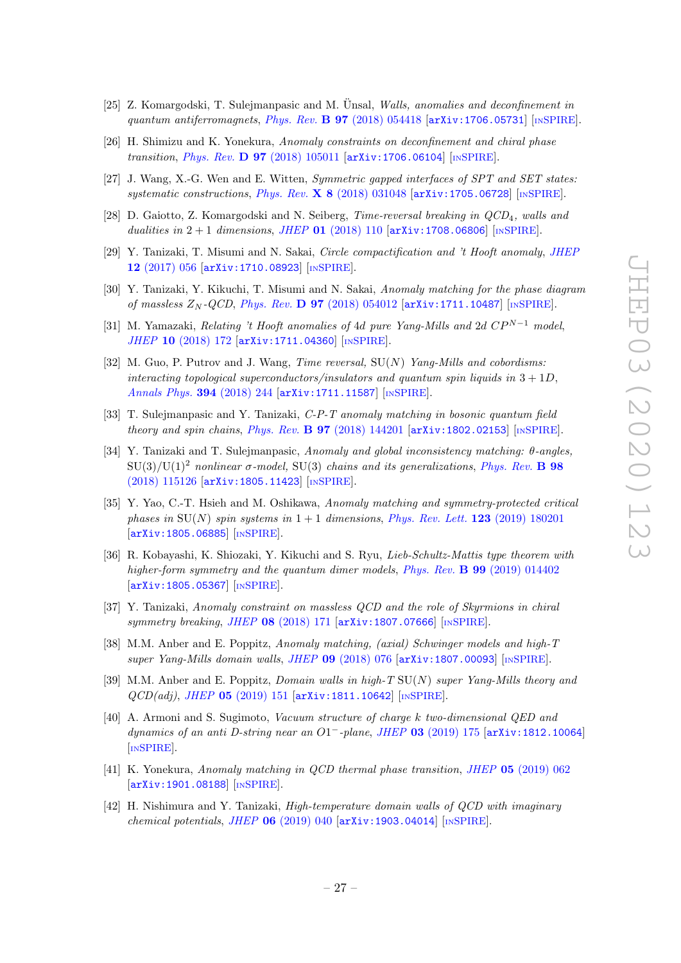- <span id="page-27-2"></span>[25] Z. Komargodski, T. Sulejmanpasic and M. Ünsal, Walls, anomalies and deconfinement in quantum antiferromagnets, Phys. Rev.  $\bf{B}$  97 [\(2018\) 054418](https://doi.org/10.1103/PhysRevB.97.054418) [[arXiv:1706.05731](https://arxiv.org/abs/1706.05731)] [IN[SPIRE](https://inspirehep.net/search?p=find+EPRINT+arXiv:1706.05731)].
- <span id="page-27-6"></span>[26] H. Shimizu and K. Yonekura, Anomaly constraints on deconfinement and chiral phase transition, *Phys. Rev. D* 97 [\(2018\) 105011](https://doi.org/10.1103/PhysRevD.97.105011) [[arXiv:1706.06104](https://arxiv.org/abs/1706.06104)] [IN[SPIRE](https://inspirehep.net/search?p=find+EPRINT+arXiv:1706.06104)].
- [27] J. Wang, X.-G. Wen and E. Witten, Symmetric gapped interfaces of SPT and SET states: systematic constructions, *Phys. Rev.* X 8 [\(2018\) 031048](https://doi.org/10.1103/PhysRevX.8.031048) [[arXiv:1705.06728](https://arxiv.org/abs/1705.06728)] [IN[SPIRE](https://inspirehep.net/search?p=find+EPRINT+arXiv:1705.06728)].
- <span id="page-27-5"></span>[28] D. Gaiotto, Z. Komargodski and N. Seiberg, *Time-reversal breaking in QCD*<sub>4</sub>, walls and dualities in  $2+1$  dimensions, JHEP 01 [\(2018\) 110](https://doi.org/10.1007/JHEP01(2018)110)  $\left[\text{arXiv:1708.06806}\right]$  $\left[\text{arXiv:1708.06806}\right]$  $\left[\text{arXiv:1708.06806}\right]$   $\left[\text{nsPIRE}\right]$ .
- <span id="page-27-7"></span>[29] Y. Tanizaki, T. Misumi and N. Sakai, Circle compactification and 't Hooft anomaly, [JHEP](https://doi.org/10.1007/JHEP12(2017)056) 12 [\(2017\) 056](https://doi.org/10.1007/JHEP12(2017)056) [[arXiv:1710.08923](https://arxiv.org/abs/1710.08923)] [IN[SPIRE](https://inspirehep.net/search?p=find+EPRINT+arXiv:1710.08923)].
- [30] Y. Tanizaki, Y. Kikuchi, T. Misumi and N. Sakai, Anomaly matching for the phase diagram of massless  $Z_N$ -QCD, Phys. Rev. **D 97** [\(2018\) 054012](https://doi.org/10.1103/PhysRevD.97.054012)  $\left[$ [arXiv:1711.10487](https://arxiv.org/abs/1711.10487) $\right]$   $\left[$ IN[SPIRE](https://inspirehep.net/search?p=find+EPRINT+arXiv:1711.10487) $\right]$ .
- <span id="page-27-8"></span>[31] M. Yamazaki, Relating 't Hooft anomalies of 4d pure Yang-Mills and 2d  $CP^{N-1}$  model, JHEP 10 [\(2018\) 172](https://doi.org/10.1007/JHEP10(2018)172) [[arXiv:1711.04360](https://arxiv.org/abs/1711.04360)] [IN[SPIRE](https://inspirehep.net/search?p=find+EPRINT+arXiv:1711.04360)].
- [32] M. Guo, P. Putrov and J. Wang, *Time reversal*,  $SU(N)$  Yang-Mills and cobordisms: interacting topological superconductors/insulators and quantum spin liquids in  $3 + 1D$ , [Annals Phys.](https://doi.org/10.1016/j.aop.2018.04.025) 394 (2018) 244 [[arXiv:1711.11587](https://arxiv.org/abs/1711.11587)] [IN[SPIRE](https://inspirehep.net/search?p=find+EPRINT+arXiv:1711.11587)].
- [33] T. Sulejmanpasic and Y. Tanizaki, C-P-T anomaly matching in bosonic quantum field theory and spin chains, Phys. Rev. B  $97$  [\(2018\) 144201](https://doi.org/10.1103/PhysRevB.97.144201) [[arXiv:1802.02153](https://arxiv.org/abs/1802.02153)] [IN[SPIRE](https://inspirehep.net/search?p=find+EPRINT+arXiv:1802.02153)].
- <span id="page-27-9"></span>[34] Y. Tanizaki and T. Sulejmanpasic, Anomaly and global inconsistency matching: θ-angles,  $SU(3)/U(1)^2$  nonlinear  $\sigma$ -model, SU(3) chains and its generalizations, [Phys. Rev.](https://doi.org/10.1103/PhysRevB.98.115126) **B** 98 [\(2018\) 115126](https://doi.org/10.1103/PhysRevB.98.115126) [[arXiv:1805.11423](https://arxiv.org/abs/1805.11423)] [IN[SPIRE](https://inspirehep.net/search?p=find+EPRINT+arXiv:1805.11423)].
- [35] Y. Yao, C.-T. Hsieh and M. Oshikawa, Anomaly matching and symmetry-protected critical phases in  $SU(N)$  spin systems in  $1+1$  dimensions, [Phys. Rev. Lett.](https://doi.org/10.1103/PhysRevLett.123.180201) 123 (2019) 180201 [[arXiv:1805.06885](https://arxiv.org/abs/1805.06885)] [IN[SPIRE](https://inspirehep.net/search?p=find+EPRINT+arXiv:1805.06885)].
- [36] R. Kobayashi, K. Shiozaki, Y. Kikuchi and S. Ryu, Lieb-Schultz-Mattis type theorem with higher-form symmetry and the quantum dimer models, Phys. Rev. **B** 99 [\(2019\) 014402](https://doi.org/10.1103/PhysRevB.99.014402) [[arXiv:1805.05367](https://arxiv.org/abs/1805.05367)] [IN[SPIRE](https://inspirehep.net/search?p=find+EPRINT+arXiv:1805.05367)].
- [37] Y. Tanizaki, Anomaly constraint on massless QCD and the role of Skyrmions in chiral symmetry breaking, JHEP  $08$  [\(2018\) 171](https://doi.org/10.1007/JHEP08(2018)171)  $\text{arXiv:1807.07666}$  $\text{arXiv:1807.07666}$  $\text{arXiv:1807.07666}$  [IN[SPIRE](https://inspirehep.net/search?p=find+EPRINT+arXiv:1807.07666)].
- <span id="page-27-0"></span>[38] M.M. Anber and E. Poppitz, Anomaly matching, (axial) Schwinger models and high-T super Yang-Mills domain walls, JHEP 09 [\(2018\) 076](https://doi.org/10.1007/JHEP09(2018)076) [[arXiv:1807.00093](https://arxiv.org/abs/1807.00093)] [IN[SPIRE](https://inspirehep.net/search?p=find+EPRINT+arXiv:1807.00093)].
- <span id="page-27-3"></span>[39] M.M. Anber and E. Poppitz, *Domain walls in high-T*  $SU(N)$  super Yang-Mills theory and  $QCD(adj)$ , JHEP 05 [\(2019\) 151](https://doi.org/10.1007/JHEP05(2019)151)  $\vert$ [arXiv:1811.10642](https://arxiv.org/abs/1811.10642) $\vert$  [IN[SPIRE](https://inspirehep.net/search?p=find+EPRINT+arXiv:1811.10642)].
- <span id="page-27-1"></span>[40] A. Armoni and S. Sugimoto, Vacuum structure of charge k two-dimensional QED and dynamics of an anti D-string near an O1<sup>-</sup>-plane, JHEP 03 [\(2019\) 175](https://doi.org/10.1007/JHEP03(2019)175) [[arXiv:1812.10064](https://arxiv.org/abs/1812.10064)] [IN[SPIRE](https://inspirehep.net/search?p=find+EPRINT+arXiv:1812.10064)].
- [41] K. Yonekura, Anomaly matching in QCD thermal phase transition, JHEP 05 [\(2019\) 062](https://doi.org/10.1007/JHEP05(2019)062) [[arXiv:1901.08188](https://arxiv.org/abs/1901.08188)] [IN[SPIRE](https://inspirehep.net/search?p=find+EPRINT+arXiv:1901.08188)].
- <span id="page-27-4"></span>[42] H. Nishimura and Y. Tanizaki, High-temperature domain walls of QCD with imaginary chemical potentials, JHEP  $06$  [\(2019\) 040](https://doi.org/10.1007/JHEP06(2019)040)  $\text{arXiv:1903.04014}$  $\text{arXiv:1903.04014}$  $\text{arXiv:1903.04014}$  [IN[SPIRE](https://inspirehep.net/search?p=find+EPRINT+arXiv:1903.04014)].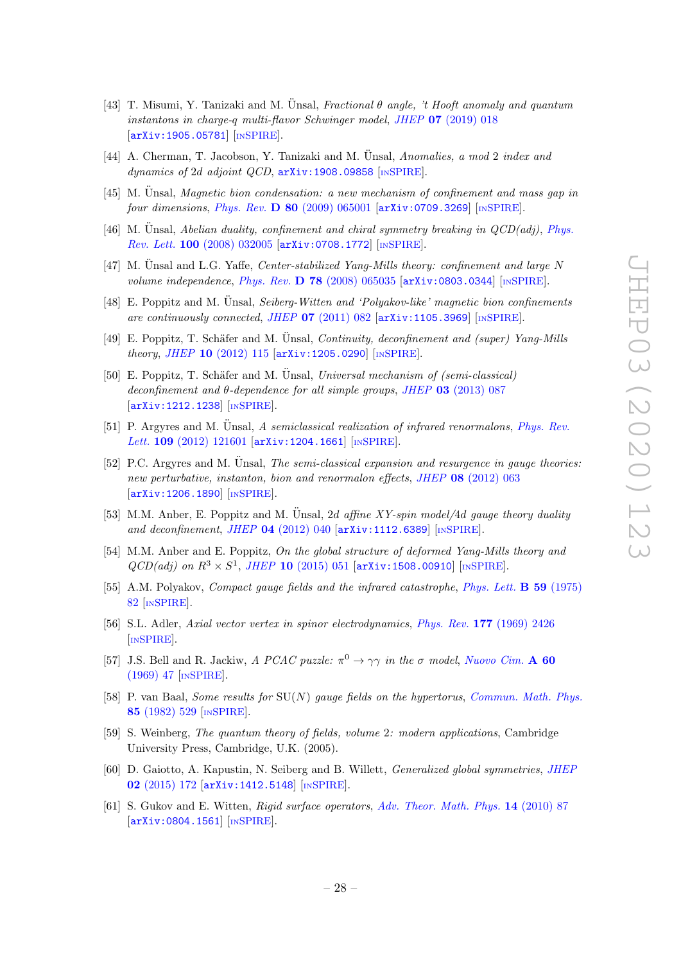- <span id="page-28-11"></span>[43] T. Misumi, Y. Tanizaki and M. Unsal, Fractional  $\theta$  angle, 't Hooft anomaly and quantum instantons in charge-q multi-flavor Schwinger model, JHEP 07 [\(2019\) 018](https://doi.org/10.1007/JHEP07(2019)018) [[arXiv:1905.05781](https://arxiv.org/abs/1905.05781)] [IN[SPIRE](https://inspirehep.net/search?p=find+EPRINT+arXiv:1905.05781)].
- <span id="page-28-0"></span>[44] A. Cherman, T. Jacobson, Y. Tanizaki and M. Unsal, Anomalies, a mod 2 index and dynamics of 2d adjoint QCD,  $arXiv:1908.09858$  [IN[SPIRE](https://inspirehep.net/search?p=find+EPRINT+arXiv:1908.09858)].
- <span id="page-28-1"></span> $[45]$  M. Unsal, *Magnetic bion condensation: a new mechanism of confinement and mass gap in* four dimensions, Phys. Rev.  $\bf{D}$  80 [\(2009\) 065001](https://doi.org/10.1103/PhysRevD.80.065001) [[arXiv:0709.3269](https://arxiv.org/abs/0709.3269)] [IN[SPIRE](https://inspirehep.net/search?p=find+EPRINT+arXiv:0709.3269)].
- [46] M. Unsal, Abelian duality, confinement and chiral symmetry breaking in  $QCD(adj)$ , [Phys.](https://doi.org/10.1103/PhysRevLett.100.032005) Rev. Lett. 100 [\(2008\) 032005](https://doi.org/10.1103/PhysRevLett.100.032005) [[arXiv:0708.1772](https://arxiv.org/abs/0708.1772)] [IN[SPIRE](https://inspirehep.net/search?p=find+EPRINT+arXiv:0708.1772)].
- <span id="page-28-3"></span>[47] M. Unsal and L.G. Yaffe, *Center-stabilized Yang-Mills theory: confinement and large N* volume independence, Phys. Rev. D 78 [\(2008\) 065035](https://doi.org/10.1103/PhysRevD.78.065035)  $arXiv:0803.0344$  [IN[SPIRE](https://inspirehep.net/search?p=find+EPRINT+arXiv:0803.0344)].
- [48] E. Poppitz and M. Unsal,  $Seiberg-Witten$  and 'Polyakov-like' magnetic bion confinements are continuously connected, JHEP  $07$  [\(2011\) 082](https://doi.org/10.1007/JHEP07(2011)082)  $\left[$ [arXiv:1105.3969](https://arxiv.org/abs/1105.3969) $\right]$   $\left[$ IN[SPIRE](https://inspirehep.net/search?p=find+EPRINT+arXiv:1105.3969) $\right]$ .
- [49] E. Poppitz, T. Schäfer and M. Unsal, *Continuity, deconfinement and (super) Yang-Mills* theory, JHEP 10  $(2012)$  115  $\text{arXiv:1205.0290}$  $\text{arXiv:1205.0290}$  $\text{arXiv:1205.0290}$  [IN[SPIRE](https://inspirehep.net/search?p=find+EPRINT+arXiv:1205.0290)].
- [50] E. Poppitz, T. Schäfer and M. Unsal, Universal mechanism of (semi-classical) deconfinement and θ-dependence for all simple groups, JHEP 03 [\(2013\) 087](https://doi.org/10.1007/JHEP03(2013)087) [[arXiv:1212.1238](https://arxiv.org/abs/1212.1238)] [IN[SPIRE](https://inspirehep.net/search?p=find+EPRINT+arXiv:1212.1238)].
- [51] P. Argyres and M. Unsal, A semiclassical realization of infrared renormalons, [Phys. Rev.](https://doi.org/10.1103/PhysRevLett.109.121601) Lett. 109 [\(2012\) 121601](https://doi.org/10.1103/PhysRevLett.109.121601) [[arXiv:1204.1661](https://arxiv.org/abs/1204.1661)] [IN[SPIRE](https://inspirehep.net/search?p=find+EPRINT+arXiv:1204.1661)].
- [52] P.C. Argyres and M. Ünsal, *The semi-classical expansion and resurgence in gauge theories:* new perturbative, instanton, bion and renormalon effects, JHEP 08 [\(2012\) 063](https://doi.org/10.1007/JHEP08(2012)063) [[arXiv:1206.1890](https://arxiv.org/abs/1206.1890)] [IN[SPIRE](https://inspirehep.net/search?p=find+EPRINT+arXiv:1206.1890)].
- [53] M.M. Anber, E. Poppitz and M. Unsal, 2d affine XY-spin model/4d gauge theory duality and deconfinement, JHEP 04 [\(2012\) 040](https://doi.org/10.1007/JHEP04(2012)040) [[arXiv:1112.6389](https://arxiv.org/abs/1112.6389)] [IN[SPIRE](https://inspirehep.net/search?p=find+EPRINT+arXiv:1112.6389)].
- <span id="page-28-2"></span>[54] M.M. Anber and E. Poppitz, On the global structure of deformed Yang-Mills theory and  $QCD(adj)$  on  $R^3 \times S^1$ , JHEP 10 [\(2015\) 051](https://doi.org/10.1007/JHEP10(2015)051) [[arXiv:1508.00910](https://arxiv.org/abs/1508.00910)] [IN[SPIRE](https://inspirehep.net/search?p=find+EPRINT+arXiv:1508.00910)].
- <span id="page-28-4"></span>[55] A.M. Polyakov, *Compact gauge fields and the infrared catastrophe, [Phys. Lett.](https://doi.org/10.1016/0370-2693(75)90162-8)* **B 59** (1975) [82](https://doi.org/10.1016/0370-2693(75)90162-8) [IN[SPIRE](https://inspirehep.net/search?p=find+J+%22Phys.Lett.,B59,82%22)].
- <span id="page-28-5"></span>[56] S.L. Adler, Axial vector vertex in spinor electrodynamics, Phys. Rev. 177 [\(1969\) 2426](https://doi.org/10.1103/PhysRev.177.2426) [IN[SPIRE](https://inspirehep.net/search?p=find+J+%22Phys.Rev.,177,2426%22)].
- <span id="page-28-6"></span>[57] J.S. Bell and R. Jackiw, A PCAC puzzle:  $\pi^0 \to \gamma \gamma$  in the  $\sigma$  model, [Nuovo Cim.](https://doi.org/10.1007/BF02823296) A 60 [\(1969\) 47](https://doi.org/10.1007/BF02823296) [IN[SPIRE](https://inspirehep.net/search?p=find+J+%22NuovoCim.,A60,47%22)].
- <span id="page-28-7"></span>[58] P. van Baal, Some results for SU(N) gauge fields on the hypertorus, [Commun. Math. Phys.](https://doi.org/10.1007/BF01403503) 85 [\(1982\) 529](https://doi.org/10.1007/BF01403503) [IN[SPIRE](https://inspirehep.net/search?p=find+J+%22Comm.Math.Phys.,85,529%22)].
- <span id="page-28-8"></span>[59] S. Weinberg, The quantum theory of fields, volume 2: modern applications, Cambridge University Press, Cambridge, U.K. (2005).
- <span id="page-28-9"></span>[60] D. Gaiotto, A. Kapustin, N. Seiberg and B. Willett, Generalized global symmetries, [JHEP](https://doi.org/10.1007/JHEP02(2015)172) 02 [\(2015\) 172](https://doi.org/10.1007/JHEP02(2015)172) [[arXiv:1412.5148](https://arxiv.org/abs/1412.5148)] [IN[SPIRE](https://inspirehep.net/search?p=find+EPRINT+arXiv:1412.5148)].
- <span id="page-28-10"></span>[61] S. Gukov and E. Witten, Rigid surface operators, [Adv. Theor. Math. Phys.](https://doi.org/10.4310/ATMP.2010.v14.n1.a3) 14 (2010) 87 [[arXiv:0804.1561](https://arxiv.org/abs/0804.1561)] [IN[SPIRE](https://inspirehep.net/search?p=find+EPRINT+arXiv:0804.1561)].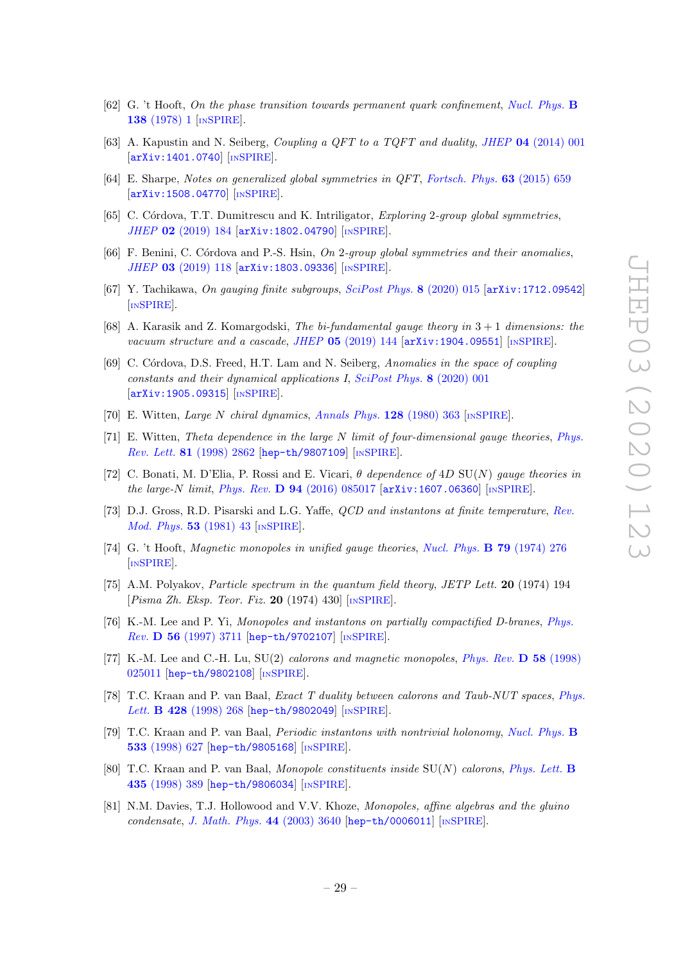- <span id="page-29-0"></span>[62] G. 't Hooft, On the phase transition towards permanent quark confinement, [Nucl. Phys.](https://doi.org/10.1016/0550-3213(78)90153-0) B 138 [\(1978\) 1](https://doi.org/10.1016/0550-3213(78)90153-0) [IN[SPIRE](https://inspirehep.net/search?p=find+J+%22Nucl.Phys.,B138,1%22)].
- <span id="page-29-1"></span>[63] A. Kapustin and N. Seiberg, Coupling a QFT to a TQFT and duality, JHEP 04 [\(2014\) 001](https://doi.org/10.1007/JHEP04(2014)001) [[arXiv:1401.0740](https://arxiv.org/abs/1401.0740)] [IN[SPIRE](https://inspirehep.net/search?p=find+EPRINT+arXiv:1401.0740)].
- <span id="page-29-2"></span>[64] E. Sharpe, Notes on generalized global symmetries in QFT, [Fortsch. Phys.](https://doi.org/10.1002/prop.201500048) 63 (2015) 659  $\left[$ [arXiv:1508.04770](https://arxiv.org/abs/1508.04770) $\right]$  $\left[$ IN[SPIRE](https://inspirehep.net/search?p=find+EPRINT+arXiv:1508.04770) $\right]$ .
- [65] C. Córdova, T.T. Dumitrescu and K. Intriligator, Exploring 2-group global symmetries, JHEP 02 [\(2019\) 184](https://doi.org/10.1007/JHEP02(2019)184) [[arXiv:1802.04790](https://arxiv.org/abs/1802.04790)] [IN[SPIRE](https://inspirehep.net/search?p=find+EPRINT+arXiv:1802.04790)].
- <span id="page-29-3"></span>[66] F. Benini, C. Córdova and P.-S. Hsin, On 2-group global symmetries and their anomalies, JHEP 03 [\(2019\) 118](https://doi.org/10.1007/JHEP03(2019)118) [[arXiv:1803.09336](https://arxiv.org/abs/1803.09336)] [IN[SPIRE](https://inspirehep.net/search?p=find+EPRINT+arXiv:1803.09336)].
- <span id="page-29-5"></span>[67] Y. Tachikawa, On gauging finite subgroups, [SciPost Phys.](https://doi.org/10.21468/SciPostPhys.8.1.015) 8 (2020) 015 [[arXiv:1712.09542](https://arxiv.org/abs/1712.09542)] [IN[SPIRE](https://inspirehep.net/search?p=find+EPRINT+arXiv:1712.09542)].
- <span id="page-29-4"></span>[68] A. Karasik and Z. Komargodski, The bi-fundamental gauge theory in  $3+1$  dimensions: the vacuum structure and a cascade, JHEP 05 [\(2019\) 144](https://doi.org/10.1007/JHEP05(2019)144)  $\left[$ [arXiv:1904.09551](https://arxiv.org/abs/1904.09551) $\right]$  [IN[SPIRE](https://inspirehep.net/search?p=find+EPRINT+arXiv:1904.09551)].
- <span id="page-29-6"></span>[69] C. Córdova, D.S. Freed, H.T. Lam and N. Seiberg, Anomalies in the space of coupling constants and their dynamical applications I, [SciPost Phys.](https://doi.org/10.21468/SciPostPhys.8.1.001) 8 (2020) 001 [[arXiv:1905.09315](https://arxiv.org/abs/1905.09315)] [IN[SPIRE](https://inspirehep.net/search?p=find+EPRINT+arXiv:1905.09315)].
- <span id="page-29-7"></span>[70] E. Witten, Large N chiral dynamics, [Annals Phys.](https://doi.org/10.1016/0003-4916(80)90325-5) 128 (1980) 363 [IN[SPIRE](https://inspirehep.net/search?p=find+J+%22AnnalsPhys.,128,363%22)].
- <span id="page-29-8"></span>[71] E. Witten, Theta dependence in the large N limit of four-dimensional gauge theories, [Phys.](https://doi.org/10.1103/PhysRevLett.81.2862) Rev. Lett. 81 [\(1998\) 2862](https://doi.org/10.1103/PhysRevLett.81.2862) [[hep-th/9807109](https://arxiv.org/abs/hep-th/9807109)] [IN[SPIRE](https://inspirehep.net/search?p=find+EPRINT+hep-th/9807109)].
- <span id="page-29-9"></span>[72] C. Bonati, M. D'Elia, P. Rossi and E. Vicari,  $\theta$  dependence of 4D SU(N) gauge theories in the large-N limit, Phys. Rev. D  $94$  [\(2016\) 085017](https://doi.org/10.1103/PhysRevD.94.085017) [[arXiv:1607.06360](https://arxiv.org/abs/1607.06360)] [IN[SPIRE](https://inspirehep.net/search?p=find+EPRINT+arXiv:1607.06360)].
- <span id="page-29-10"></span>[73] D.J. Gross, R.D. Pisarski and L.G. Yaffe, *QCD and instantons at finite temperature*, [Rev.](https://doi.org/10.1103/RevModPhys.53.43) [Mod. Phys.](https://doi.org/10.1103/RevModPhys.53.43) 53 (1981) 43 [IN[SPIRE](https://inspirehep.net/search?p=find+J+%22Rev.Mod.Phys.,53,43%22)].
- <span id="page-29-11"></span>[74] G. 't Hooft, Magnetic monopoles in unified gauge theories, [Nucl. Phys.](https://doi.org/10.1016/0550-3213(74)90486-6) B 79 (1974) 276 [IN[SPIRE](https://inspirehep.net/search?p=find+J+%22Nucl.Phys.,B79,276%22)].
- <span id="page-29-12"></span>[75] A.M. Polyakov, *Particle spectrum in the quantum field theory, JETP Lett.* **20** (1974) 194  $[Pisma\ Zh. Eksp. Teor. Fiz. 20 (1974) 430] [NSPIRE].$  $[Pisma\ Zh. Eksp. Teor. Fiz. 20 (1974) 430] [NSPIRE].$  $[Pisma\ Zh. Eksp. Teor. Fiz. 20 (1974) 430] [NSPIRE].$
- <span id="page-29-13"></span>[76] K.-M. Lee and P. Yi, Monopoles and instantons on partially compactified D-branes, [Phys.](https://doi.org/10.1103/PhysRevD.56.3711) Rev. D 56 [\(1997\) 3711](https://doi.org/10.1103/PhysRevD.56.3711) [[hep-th/9702107](https://arxiv.org/abs/hep-th/9702107)] [IN[SPIRE](https://inspirehep.net/search?p=find+EPRINT+hep-th/9702107)].
- [77] K.-M. Lee and C.-H. Lu, SU(2) *calorons and magnetic monopoles, [Phys. Rev.](https://doi.org/10.1103/PhysRevD.58.025011)* **D** 58 (1998) [025011](https://doi.org/10.1103/PhysRevD.58.025011) [[hep-th/9802108](https://arxiv.org/abs/hep-th/9802108)] [IN[SPIRE](https://inspirehep.net/search?p=find+EPRINT+hep-th/9802108)].
- [78] T.C. Kraan and P. van Baal, *Exact T duality between calorons and Taub-NUT spaces, [Phys.](https://doi.org/10.1016/S0370-2693(98)00411-0)* Lett. **B 428** [\(1998\) 268](https://doi.org/10.1016/S0370-2693(98)00411-0) [[hep-th/9802049](https://arxiv.org/abs/hep-th/9802049)] [IN[SPIRE](https://inspirehep.net/search?p=find+EPRINT+hep-th/9802049)].
- [79] T.C. Kraan and P. van Baal, Periodic instantons with nontrivial holonomy, [Nucl. Phys.](https://doi.org/10.1016/S0550-3213(98)00590-2) B 533 [\(1998\) 627](https://doi.org/10.1016/S0550-3213(98)00590-2) [[hep-th/9805168](https://arxiv.org/abs/hep-th/9805168)] [IN[SPIRE](https://inspirehep.net/search?p=find+EPRINT+hep-th/9805168)].
- <span id="page-29-14"></span>[80] T.C. Kraan and P. van Baal, Monopole constituents inside SU(N) calorons, [Phys. Lett.](https://doi.org/10.1016/S0370-2693(98)00799-0) B 435 [\(1998\) 389](https://doi.org/10.1016/S0370-2693(98)00799-0) [[hep-th/9806034](https://arxiv.org/abs/hep-th/9806034)] [IN[SPIRE](https://inspirehep.net/search?p=find+EPRINT+hep-th/9806034)].
- <span id="page-29-15"></span>[81] N.M. Davies, T.J. Hollowood and V.V. Khoze, Monopoles, affine algebras and the gluino condensate, [J. Math. Phys.](https://doi.org/10.1063/1.1586477) 44 (2003) 3640 [[hep-th/0006011](https://arxiv.org/abs/hep-th/0006011)] [IN[SPIRE](https://inspirehep.net/search?p=find+EPRINT+hep-th/0006011)].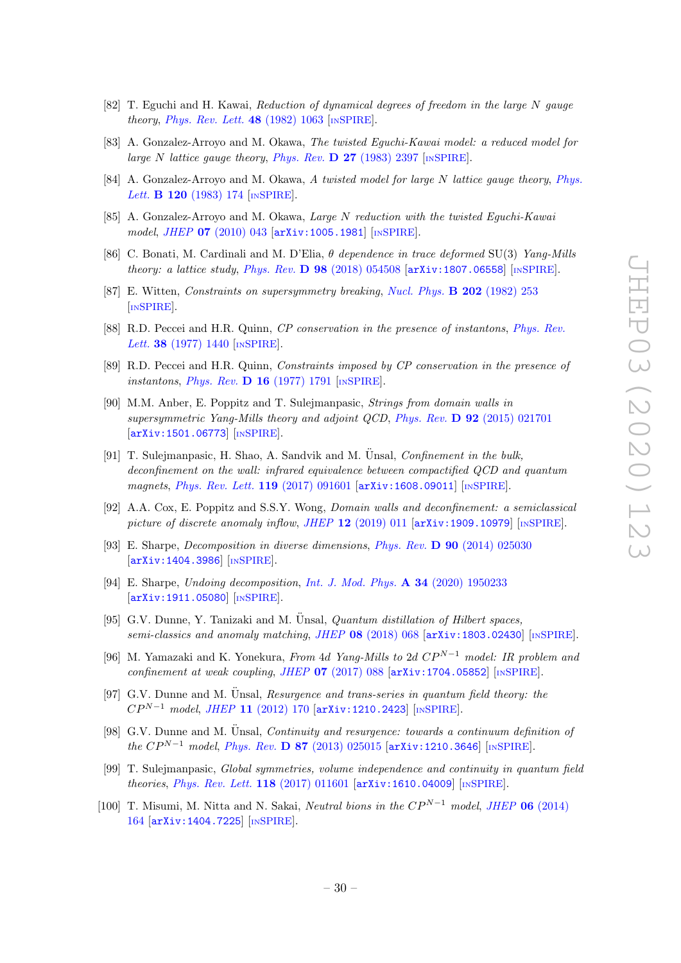- <span id="page-30-0"></span>[82] T. Eguchi and H. Kawai, Reduction of dynamical degrees of freedom in the large N gauge theory, [Phys. Rev. Lett.](https://doi.org/10.1103/PhysRevLett.48.1063)  $48$  (1982) 1063 [IN[SPIRE](https://inspirehep.net/search?p=find+J+%22Phys.Rev.Lett.,48,1063%22)].
- [83] A. Gonzalez-Arroyo and M. Okawa, The twisted Eguchi-Kawai model: a reduced model for large N lattice gauge theory, Phys. Rev.  $\bf{D}$  27 [\(1983\) 2397](https://doi.org/10.1103/PhysRevD.27.2397) [IN[SPIRE](https://inspirehep.net/search?p=find+J+%22Phys.Rev.,D27,2397%22)].
- [84] A. Gonzalez-Arroyo and M. Okawa, A twisted model for large N lattice gauge theory, [Phys.](https://doi.org/10.1016/0370-2693(83)90647-0) Lett. **B 120** [\(1983\) 174](https://doi.org/10.1016/0370-2693(83)90647-0) [IN[SPIRE](https://inspirehep.net/search?p=find+J+%22Phys.Lett.,120B,174%22)].
- <span id="page-30-1"></span>[85] A. Gonzalez-Arroyo and M. Okawa, Large N reduction with the twisted Eguchi-Kawai model, JHEP 07 [\(2010\) 043](https://doi.org/10.1007/JHEP07(2010)043) [[arXiv:1005.1981](https://arxiv.org/abs/1005.1981)] [IN[SPIRE](https://inspirehep.net/search?p=find+EPRINT+arXiv:1005.1981)].
- <span id="page-30-2"></span>[86] C. Bonati, M. Cardinali and M. D'Elia,  $\theta$  dependence in trace deformed SU(3) Yang-Mills theory: a lattice study, Phys. Rev.  $\overline{D}$  98 [\(2018\) 054508](https://doi.org/10.1103/PhysRevD.98.054508) [[arXiv:1807.06558](https://arxiv.org/abs/1807.06558)] [IN[SPIRE](https://inspirehep.net/search?p=find+EPRINT+arXiv:1807.06558)].
- <span id="page-30-3"></span>[87] E. Witten, Constraints on supersymmetry breaking, [Nucl. Phys.](https://doi.org/10.1016/0550-3213(82)90071-2) B 202 (1982) 253 [IN[SPIRE](https://inspirehep.net/search?p=find+J+%22Nucl.Phys.,B202,253%22)].
- <span id="page-30-4"></span>[88] R.D. Peccei and H.R. Quinn, CP conservation in the presence of instantons, [Phys. Rev.](https://doi.org/10.1103/PhysRevLett.38.1440) Lett. **38** [\(1977\) 1440](https://doi.org/10.1103/PhysRevLett.38.1440) [IN[SPIRE](https://inspirehep.net/search?p=find+J+%22Phys.Rev.Lett.,38,1440%22)].
- <span id="page-30-5"></span>[89] R.D. Peccei and H.R. Quinn, Constraints imposed by CP conservation in the presence of instantons, Phys. Rev.  $\bf{D}$  16 [\(1977\) 1791](https://doi.org/10.1103/PhysRevD.16.1791) [IN[SPIRE](https://inspirehep.net/search?p=find+J+%22Phys.Rev.,D16,1791%22)].
- <span id="page-30-6"></span>[90] M.M. Anber, E. Poppitz and T. Sulejmanpasic, Strings from domain walls in supersymmetric Yang-Mills theory and adjoint QCD, Phys. Rev. D 92 [\(2015\) 021701](https://doi.org/10.1103/PhysRevD.92.021701) [[arXiv:1501.06773](https://arxiv.org/abs/1501.06773)] [IN[SPIRE](https://inspirehep.net/search?p=find+EPRINT+arXiv:1501.06773)].
- [91] T. Sulejmanpasic, H. Shao, A. Sandvik and M. Unsal, *Confinement in the bulk*, deconfinement on the wall: infrared equivalence between compactified QCD and quantum magnets, [Phys. Rev. Lett.](https://doi.org/10.1103/PhysRevLett.119.091601) 119 (2017) 091601 [[arXiv:1608.09011](https://arxiv.org/abs/1608.09011)] [IN[SPIRE](https://inspirehep.net/search?p=find+EPRINT+arXiv:1608.09011)].
- <span id="page-30-7"></span>[92] A.A. Cox, E. Poppitz and S.S.Y. Wong, Domain walls and deconfinement: a semiclassical picture of discrete anomaly inflow, JHEP  $12$  [\(2019\) 011](https://doi.org/10.1007/JHEP12(2019)011)  $\left[$ [arXiv:1909.10979](https://arxiv.org/abs/1909.10979) $\right]$  [IN[SPIRE](https://inspirehep.net/search?p=find+EPRINT+arXiv:1909.10979)].
- <span id="page-30-8"></span>[93] E. Sharpe, Decomposition in diverse dimensions, Phys. Rev. D 90 [\(2014\) 025030](https://doi.org/10.1103/PhysRevD.90.025030) [[arXiv:1404.3986](https://arxiv.org/abs/1404.3986)] [IN[SPIRE](https://inspirehep.net/search?p=find+EPRINT+arXiv:1404.3986)].
- <span id="page-30-9"></span>[94] E. Sharpe, Undoing decomposition, [Int. J. Mod. Phys.](https://doi.org/10.1142/S0217751X19502336) A 34 (2020) 1950233 [[arXiv:1911.05080](https://arxiv.org/abs/1911.05080)] [IN[SPIRE](https://inspirehep.net/search?p=find+EPRINT+arXiv:1911.05080)].
- <span id="page-30-10"></span>[95] G.V. Dunne, Y. Tanizaki and M.  $\ddot{\text{U}}$ nsal, *Quantum distillation of Hilbert spaces*, semi-classics and anomaly matching, JHEP 08 [\(2018\) 068](https://doi.org/10.1007/JHEP08(2018)068) [[arXiv:1803.02430](https://arxiv.org/abs/1803.02430)] [IN[SPIRE](https://inspirehep.net/search?p=find+EPRINT+arXiv:1803.02430)].
- <span id="page-30-11"></span>[96] M. Yamazaki and K. Yonekura, From 4d Yang-Mills to 2d  $CP^{N-1}$  model: IR problem and confinement at weak coupling, JHEP  $07$  [\(2017\) 088](https://doi.org/10.1007/JHEP07(2017)088) [[arXiv:1704.05852](https://arxiv.org/abs/1704.05852)] [IN[SPIRE](https://inspirehep.net/search?p=find+EPRINT+arXiv:1704.05852)].
- <span id="page-30-12"></span>[97] G.V. Dunne and M. Ünsal, Resurgence and trans-series in quantum field theory: the  $CP^{N-1}$  model, JHEP 11 [\(2012\) 170](https://doi.org/10.1007/JHEP11(2012)170)  $arXiv:1210.2423$  [IN[SPIRE](https://inspirehep.net/search?p=find+EPRINT+arXiv:1210.2423)].
- <span id="page-30-13"></span>[98] G.V. Dunne and M. Unsal, *Continuity and resurgence: towards a continuum definition of* the  $CP^{N-1}$  model, Phys. Rev. D 87 [\(2013\) 025015](https://doi.org/10.1103/PhysRevD.87.025015) [[arXiv:1210.3646](https://arxiv.org/abs/1210.3646)] [IN[SPIRE](https://inspirehep.net/search?p=find+EPRINT+arXiv:1210.3646)].
- <span id="page-30-14"></span>[99] T. Sulejmanpasic, Global symmetries, volume independence and continuity in quantum field theories, [Phys. Rev. Lett.](https://doi.org/10.1103/PhysRevLett.118.011601) 118 (2017) 011601 [[arXiv:1610.04009](https://arxiv.org/abs/1610.04009)] [IN[SPIRE](https://inspirehep.net/search?p=find+EPRINT+arXiv:1610.04009)].
- [100] T. Misumi, M. Nitta and N. Sakai, Neutral bions in the  $CP^{N-1}$  model, JHEP 06 [\(2014\)](https://doi.org/10.1007/JHEP06(2014)164) [164](https://doi.org/10.1007/JHEP06(2014)164) [[arXiv:1404.7225](https://arxiv.org/abs/1404.7225)] [IN[SPIRE](https://inspirehep.net/search?p=find+EPRINT+arXiv:1404.7225)].